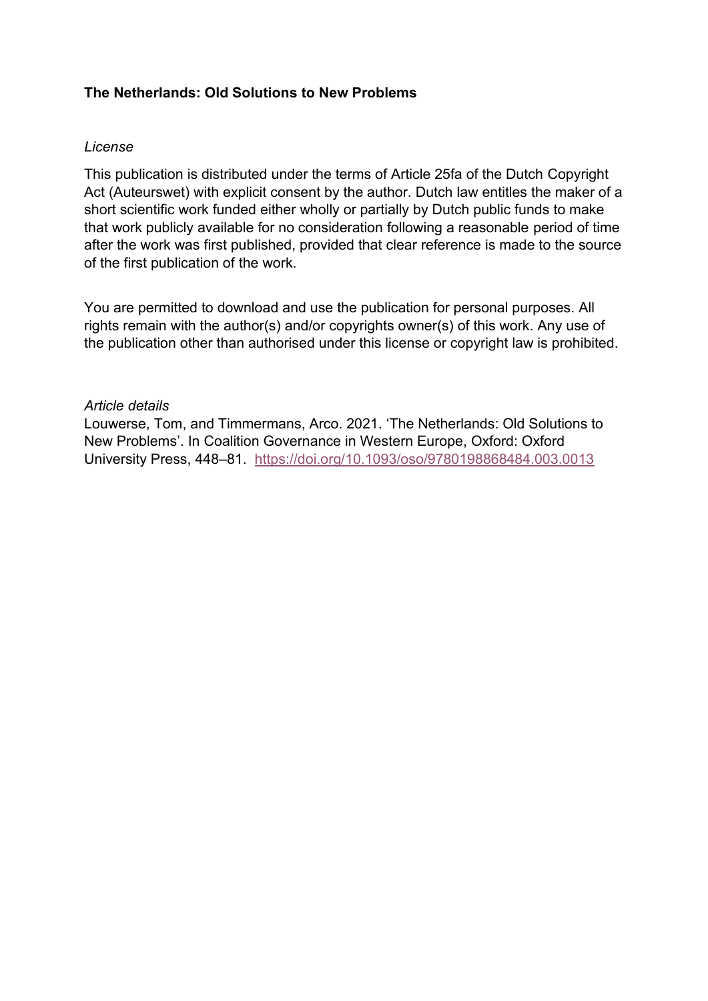# **The Netherlands: Old Solutions to New Problems**

# *License*

This publication is distributed under the terms of Article 25fa of the Dutch Copyright Act (Auteurswet) with explicit consent by the author. Dutch law entitles the maker of a short scientific work funded either wholly or partially by Dutch public funds to make that work publicly available for no consideration following a reasonable period of time after the work was first published, provided that clear reference is made to the source of the first publication of the work.

You are permitted to download and use the publication for personal purposes. All rights remain with the author(s) and/or copyrights owner(s) of this work. Any use of the publication other than authorised under this license or copyright law is prohibited.

# *Article details*

Louwerse, Tom, and Timmermans, Arco. 2021. 'The Netherlands: Old Solutions to New Problems'. In Coalition Governance in Western Europe, Oxford: Oxford University Press, 448–81. <https://doi.org/10.1093/oso/9780198868484.003.0013>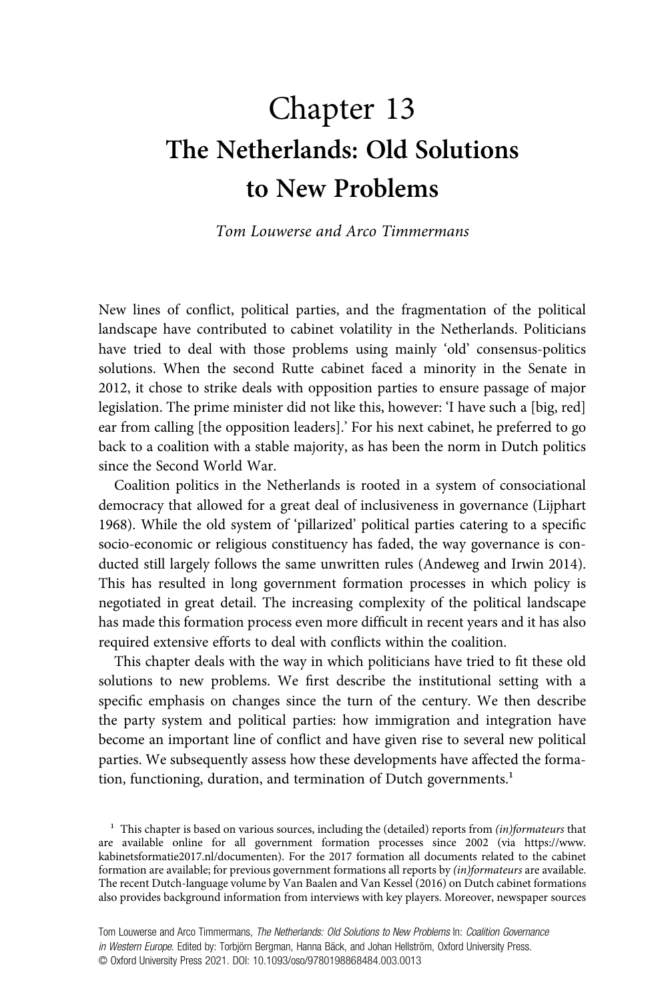# Chapter 13 The Netherlands: Old Solutions to New Problems

Tom Louwerse and Arco Timmermans

New lines of conflict, political parties, and the fragmentation of the political landscape have contributed to cabinet volatility in the Netherlands. Politicians have tried to deal with those problems using mainly 'old' consensus-politics solutions. When the second Rutte cabinet faced a minority in the Senate in 2012, it chose to strike deals with opposition parties to ensure passage of major legislation. The prime minister did not like this, however: 'I have such a [big, red] ear from calling [the opposition leaders].' For his next cabinet, he preferred to go back to a coalition with a stable majority, as has been the norm in Dutch politics since the Second World War.

Coalition politics in the Netherlands is rooted in a system of consociational democracy that allowed for a great deal of inclusiveness in governance (Lijphart 1968). While the old system of 'pillarized' political parties catering to a specific socio-economic or religious constituency has faded, the way governance is conducted still largely follows the same unwritten rules (Andeweg and Irwin 2014). This has resulted in long government formation processes in which policy is negotiated in great detail. The increasing complexity of the political landscape has made this formation process even more difficult in recent years and it has also required extensive efforts to deal with conflicts within the coalition.

This chapter deals with the way in which politicians have tried to fit these old solutions to new problems. We first describe the institutional setting with a specific emphasis on changes since the turn of the century. We then describe the party system and political parties: how immigration and integration have become an important line of conflict and have given rise to several new political parties. We subsequently assess how these developments have affected the formation, functioning, duration, and termination of Dutch governments.<sup>1</sup>

 $1$  This chapter is based on various sources, including the (detailed) reports from (in)formateurs that are available online for all government formation processes since 2002 (via https://www. kabinetsformatie2017.nl/documenten). For the 2017 formation all documents related to the cabinet formation are available; for previous government formations all reports by (in)formateurs are available. The recent Dutch-language volume by Van Baalen and Van Kessel (2016) on Dutch cabinet formations also provides background information from interviews with key players. Moreover, newspaper sources

Tom Louwerse and Arco Timmermans, The Netherlands: Old Solutions to New Problems In: Coalition Governance in Western Europe. Edited by: Torbjörn Bergman, Hanna Bäck, and Johan Hellström, Oxford University Press. © Oxford University Press 2021. DOI: 10.1093/oso/9780198868484.003.0013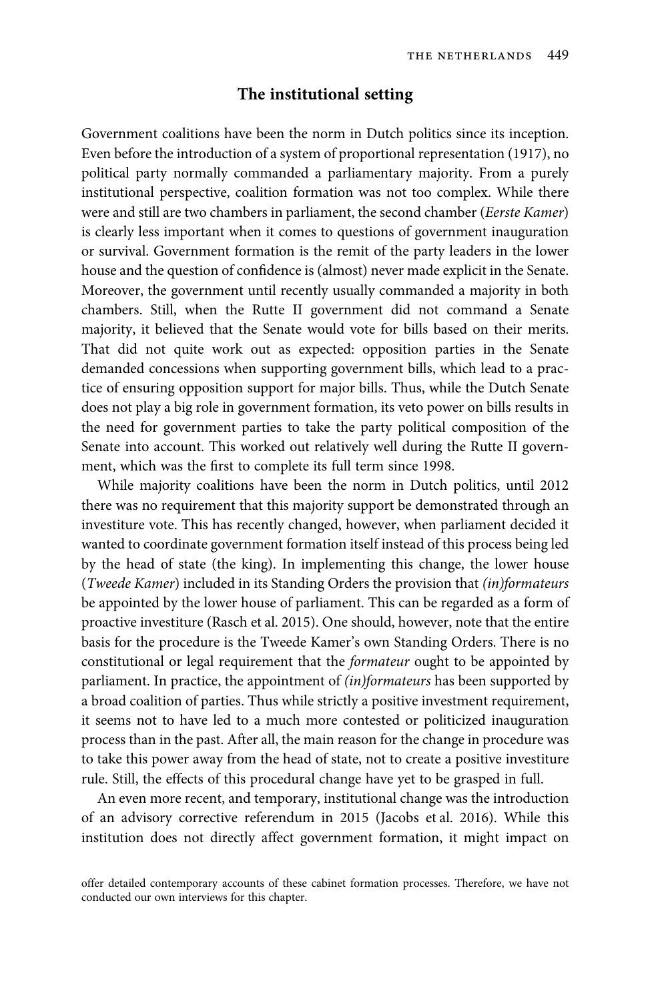#### The institutional setting

Government coalitions have been the norm in Dutch politics since its inception. Even before the introduction of a system of proportional representation (1917), no political party normally commanded a parliamentary majority. From a purely institutional perspective, coalition formation was not too complex. While there were and still are two chambers in parliament, the second chamber (Eerste Kamer) is clearly less important when it comes to questions of government inauguration or survival. Government formation is the remit of the party leaders in the lower house and the question of confidence is (almost) never made explicit in the Senate. Moreover, the government until recently usually commanded a majority in both chambers. Still, when the Rutte II government did not command a Senate majority, it believed that the Senate would vote for bills based on their merits. That did not quite work out as expected: opposition parties in the Senate demanded concessions when supporting government bills, which lead to a practice of ensuring opposition support for major bills. Thus, while the Dutch Senate does not play a big role in government formation, its veto power on bills results in the need for government parties to take the party political composition of the Senate into account. This worked out relatively well during the Rutte II government, which was the first to complete its full term since 1998.

While majority coalitions have been the norm in Dutch politics, until 2012 there was no requirement that this majority support be demonstrated through an investiture vote. This has recently changed, however, when parliament decided it wanted to coordinate government formation itself instead of this process being led by the head of state (the king). In implementing this change, the lower house (Tweede Kamer) included in its Standing Orders the provision that (in)formateurs be appointed by the lower house of parliament. This can be regarded as a form of proactive investiture (Rasch et al. 2015). One should, however, note that the entire basis for the procedure is the Tweede Kamer's own Standing Orders. There is no constitutional or legal requirement that the formateur ought to be appointed by parliament. In practice, the appointment of (in)formateurs has been supported by a broad coalition of parties. Thus while strictly a positive investment requirement, it seems not to have led to a much more contested or politicized inauguration process than in the past. After all, the main reason for the change in procedure was to take this power away from the head of state, not to create a positive investiture rule. Still, the effects of this procedural change have yet to be grasped in full.

An even more recent, and temporary, institutional change was the introduction of an advisory corrective referendum in 2015 (Jacobs et al. 2016). While this institution does not directly affect government formation, it might impact on

offer detailed contemporary accounts of these cabinet formation processes. Therefore, we have not conducted our own interviews for this chapter.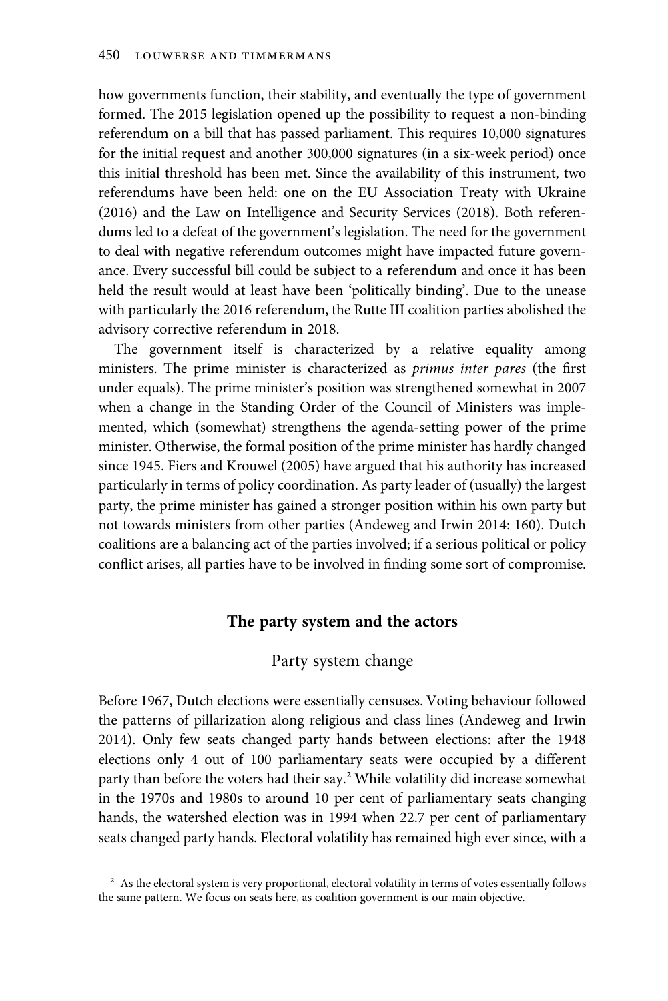how governments function, their stability, and eventually the type of government formed. The 2015 legislation opened up the possibility to request a non-binding referendum on a bill that has passed parliament. This requires 10,000 signatures for the initial request and another 300,000 signatures (in a six-week period) once this initial threshold has been met. Since the availability of this instrument, two referendums have been held: one on the EU Association Treaty with Ukraine (2016) and the Law on Intelligence and Security Services (2018). Both referendums led to a defeat of the government's legislation. The need for the government to deal with negative referendum outcomes might have impacted future governance. Every successful bill could be subject to a referendum and once it has been held the result would at least have been 'politically binding'. Due to the unease with particularly the 2016 referendum, the Rutte III coalition parties abolished the advisory corrective referendum in 2018.

The government itself is characterized by a relative equality among ministers. The prime minister is characterized as primus inter pares (the first under equals). The prime minister's position was strengthened somewhat in 2007 when a change in the Standing Order of the Council of Ministers was implemented, which (somewhat) strengthens the agenda-setting power of the prime minister. Otherwise, the formal position of the prime minister has hardly changed since 1945. Fiers and Krouwel (2005) have argued that his authority has increased particularly in terms of policy coordination. As party leader of (usually) the largest party, the prime minister has gained a stronger position within his own party but not towards ministers from other parties (Andeweg and Irwin 2014: 160). Dutch coalitions are a balancing act of the parties involved; if a serious political or policy conflict arises, all parties have to be involved in finding some sort of compromise.

#### The party system and the actors

# Party system change

Before 1967, Dutch elections were essentially censuses. Voting behaviour followed the patterns of pillarization along religious and class lines (Andeweg and Irwin 2014). Only few seats changed party hands between elections: after the 1948 elections only 4 out of 100 parliamentary seats were occupied by a different party than before the voters had their say.² While volatility did increase somewhat in the 1970s and 1980s to around 10 per cent of parliamentary seats changing hands, the watershed election was in 1994 when 22.7 per cent of parliamentary seats changed party hands. Electoral volatility has remained high ever since, with a

<sup>2</sup> As the electoral system is very proportional, electoral volatility in terms of votes essentially follows the same pattern. We focus on seats here, as coalition government is our main objective.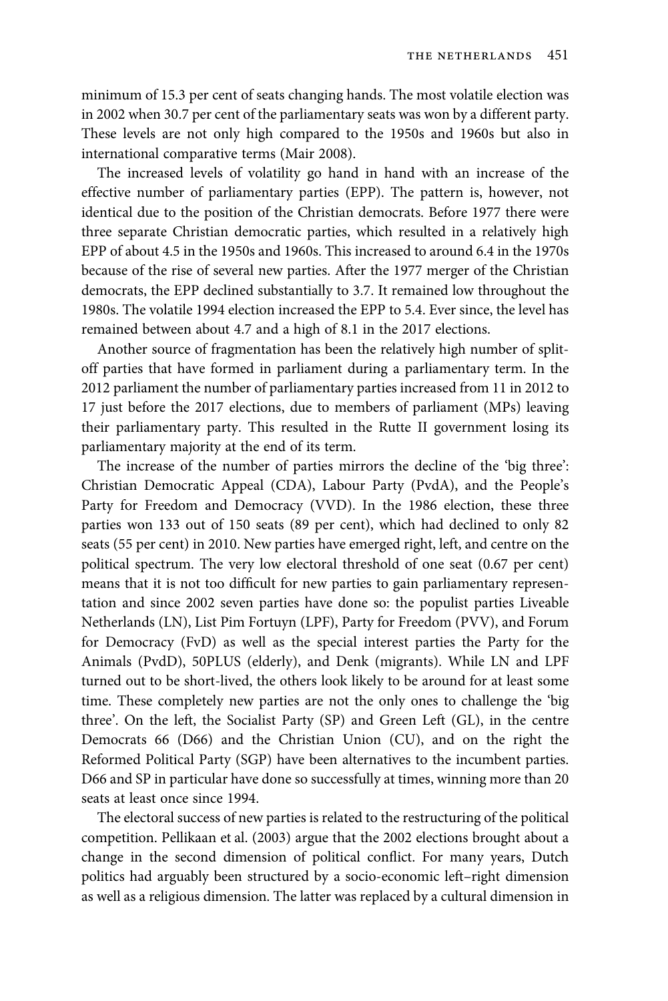minimum of 15.3 per cent of seats changing hands. The most volatile election was in 2002 when 30.7 per cent of the parliamentary seats was won by a different party. These levels are not only high compared to the 1950s and 1960s but also in international comparative terms (Mair 2008).

The increased levels of volatility go hand in hand with an increase of the effective number of parliamentary parties (EPP). The pattern is, however, not identical due to the position of the Christian democrats. Before 1977 there were three separate Christian democratic parties, which resulted in a relatively high EPP of about 4.5 in the 1950s and 1960s. This increased to around 6.4 in the 1970s because of the rise of several new parties. After the 1977 merger of the Christian democrats, the EPP declined substantially to 3.7. It remained low throughout the 1980s. The volatile 1994 election increased the EPP to 5.4. Ever since, the level has remained between about 4.7 and a high of 8.1 in the 2017 elections.

Another source of fragmentation has been the relatively high number of splitoff parties that have formed in parliament during a parliamentary term. In the 2012 parliament the number of parliamentary parties increased from 11 in 2012 to 17 just before the 2017 elections, due to members of parliament (MPs) leaving their parliamentary party. This resulted in the Rutte II government losing its parliamentary majority at the end of its term.

The increase of the number of parties mirrors the decline of the 'big three': Christian Democratic Appeal (CDA), Labour Party (PvdA), and the People's Party for Freedom and Democracy (VVD). In the 1986 election, these three parties won 133 out of 150 seats (89 per cent), which had declined to only 82 seats (55 per cent) in 2010. New parties have emerged right, left, and centre on the political spectrum. The very low electoral threshold of one seat (0.67 per cent) means that it is not too difficult for new parties to gain parliamentary representation and since 2002 seven parties have done so: the populist parties Liveable Netherlands (LN), List Pim Fortuyn (LPF), Party for Freedom (PVV), and Forum for Democracy (FvD) as well as the special interest parties the Party for the Animals (PvdD), 50PLUS (elderly), and Denk (migrants). While LN and LPF turned out to be short-lived, the others look likely to be around for at least some time. These completely new parties are not the only ones to challenge the 'big three'. On the left, the Socialist Party (SP) and Green Left (GL), in the centre Democrats 66 (D66) and the Christian Union (CU), and on the right the Reformed Political Party (SGP) have been alternatives to the incumbent parties. D66 and SP in particular have done so successfully at times, winning more than 20 seats at least once since 1994.

The electoral success of new parties is related to the restructuring of the political competition. Pellikaan et al. (2003) argue that the 2002 elections brought about a change in the second dimension of political conflict. For many years, Dutch politics had arguably been structured by a socio-economic left–right dimension as well as a religious dimension. The latter was replaced by a cultural dimension in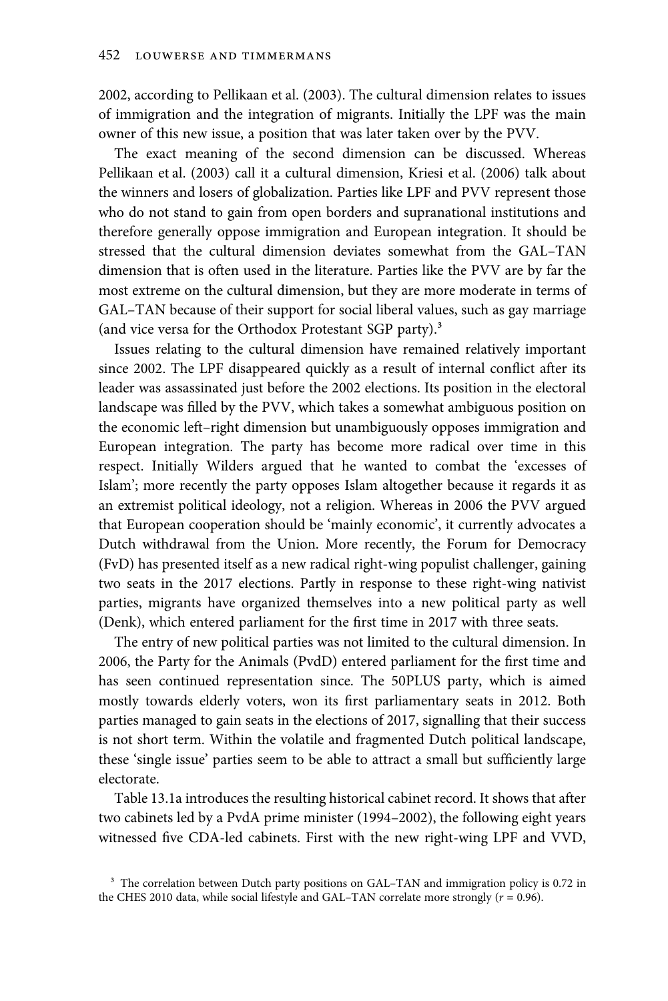2002, according to Pellikaan et al. (2003). The cultural dimension relates to issues of immigration and the integration of migrants. Initially the LPF was the main owner of this new issue, a position that was later taken over by the PVV.

The exact meaning of the second dimension can be discussed. Whereas Pellikaan et al. (2003) call it a cultural dimension, Kriesi et al. (2006) talk about the winners and losers of globalization. Parties like LPF and PVV represent those who do not stand to gain from open borders and supranational institutions and therefore generally oppose immigration and European integration. It should be stressed that the cultural dimension deviates somewhat from the GAL–TAN dimension that is often used in the literature. Parties like the PVV are by far the most extreme on the cultural dimension, but they are more moderate in terms of GAL–TAN because of their support for social liberal values, such as gay marriage (and vice versa for the Orthodox Protestant SGP party).³

Issues relating to the cultural dimension have remained relatively important since 2002. The LPF disappeared quickly as a result of internal conflict after its leader was assassinated just before the 2002 elections. Its position in the electoral landscape was filled by the PVV, which takes a somewhat ambiguous position on the economic left–right dimension but unambiguously opposes immigration and European integration. The party has become more radical over time in this respect. Initially Wilders argued that he wanted to combat the 'excesses of Islam'; more recently the party opposes Islam altogether because it regards it as an extremist political ideology, not a religion. Whereas in 2006 the PVV argued that European cooperation should be 'mainly economic', it currently advocates a Dutch withdrawal from the Union. More recently, the Forum for Democracy (FvD) has presented itself as a new radical right-wing populist challenger, gaining two seats in the 2017 elections. Partly in response to these right-wing nativist parties, migrants have organized themselves into a new political party as well (Denk), which entered parliament for the first time in 2017 with three seats.

The entry of new political parties was not limited to the cultural dimension. In 2006, the Party for the Animals (PvdD) entered parliament for the first time and has seen continued representation since. The 50PLUS party, which is aimed mostly towards elderly voters, won its first parliamentary seats in 2012. Both parties managed to gain seats in the elections of 2017, signalling that their success is not short term. Within the volatile and fragmented Dutch political landscape, these 'single issue' parties seem to be able to attract a small but sufficiently large electorate.

Table 13.1a introduces the resulting historical cabinet record. It shows that after two cabinets led by a PvdA prime minister (1994–2002), the following eight years witnessed five CDA-led cabinets. First with the new right-wing LPF and VVD,

<sup>&</sup>lt;sup>3</sup> The correlation between Dutch party positions on GAL–TAN and immigration policy is 0.72 in the CHES 2010 data, while social lifestyle and GAL–TAN correlate more strongly ( $r = 0.96$ ).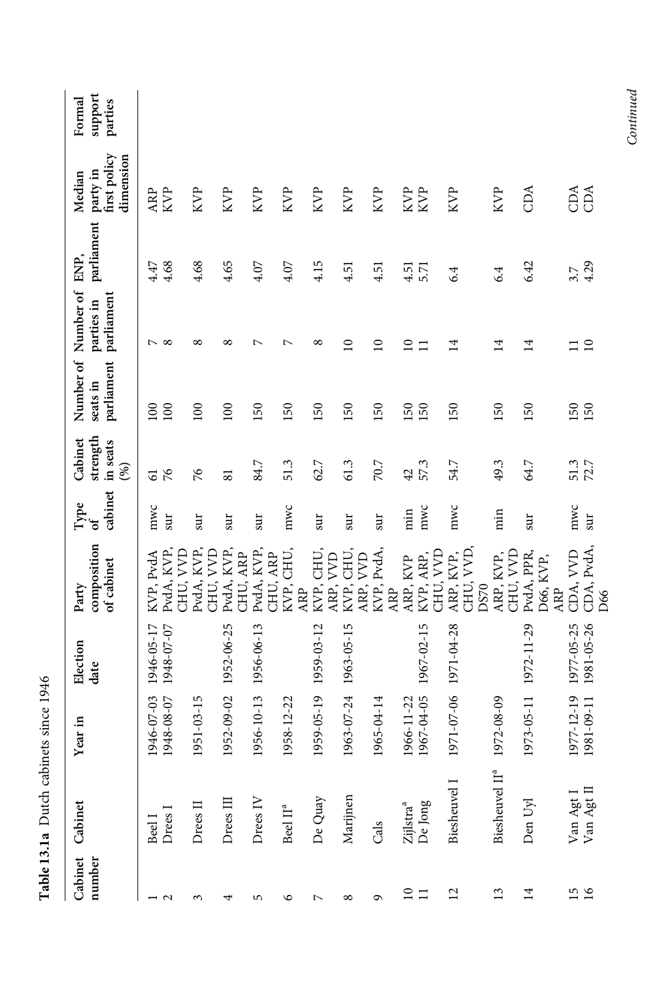| number          | Cabinet Cabinet                  | Year in                  | Election<br>date         | composition<br>of cabinet<br>Party | cabinet<br>$\ensuremath{\textsc{Type}}$<br>ð | strength<br>Cabinet<br>in seats<br>(%) | Number of Number of ENP,<br>parliament<br>seats in | parliament<br>parties in | parliament   | first policy<br>dimension<br>party in<br>Median | support<br>Formal<br>parties |
|-----------------|----------------------------------|--------------------------|--------------------------|------------------------------------|----------------------------------------------|----------------------------------------|----------------------------------------------------|--------------------------|--------------|-------------------------------------------------|------------------------------|
| $\frac{1}{2}$   | Drees I<br>Beel I                | 1946-07-03<br>1948-08-07 | 1946-05-17<br>1948-07-07 | PvdA, KVP,<br>KVP, PvdA            | mwc<br>sur                                   | 76<br>61                               | 100<br>100                                         | ⊳ ∞                      | 4.47<br>4.68 | <b>KVP</b><br>ARP                               |                              |
| ξ               | Drees II                         | 1951-03-15               |                          | KVP,<br>CHU, VVD<br>PvdA, 1        | sur                                          | 76                                     | 100                                                | ∞                        | 4.68         | <b>KVP</b>                                      |                              |
| 4               | Drees III                        | 1952-09-02               | 1952-06-25               | PvdA, KVP,<br><b>AND</b><br>CHU,   | sur                                          | $\overline{\phantom{0}}$               | 100                                                | ∞                        | 4.65         | <b>KVP</b>                                      |                              |
| 5               | Drees <sub>IV</sub>              | 1956-10-13               | 1956-06-13               | PvdA, KVP,<br>CHU, ARP<br>ARP      | sur                                          | 84.7                                   | 50                                                 | ↖                        | 4.07         | KVP                                             |                              |
| ৩               | Beel $\Pi^{\rm a}$               | 1958-12-22               |                          | KVP, CHU,<br>CHU,<br>ARP           | mwc                                          | 51.3                                   | 50                                                 | ⊳                        | 4.07         | <b>KVP</b>                                      |                              |
| $\overline{ }$  | De Quay                          | 1959-05-19               | 1959-03-12               | CHU,<br><b>A</b><br>KVP,           | sur                                          | 62.7                                   | 50                                                 | $^{\circ}$               | 4.15         | <b>KVP</b>                                      |                              |
| $\infty$        | Marijnen                         | 1963-07-24               | 1963-05-15               | KVP, CHU,<br>ARP, VVD<br>ARP,      | sur                                          | 61.3                                   | $50^{\circ}$                                       | $\Omega$                 | 4.51         | <b>KVP</b>                                      |                              |
| $\sigma$        | Cals                             | 1965-04-14               |                          | PvdA,<br>KVP,<br>ARP               | sur                                          | 70.7                                   | S,                                                 | $\overline{\phantom{0}}$ | 4.51         | <b>KVP</b>                                      |                              |
| $\frac{10}{11}$ | De Jong<br>Zijlstra <sup>a</sup> | 1967-04-05<br>1966-11-22 | 1967-02-15               | KVP, ARP,<br>ARP, KVP              | mwc<br>im                                    | 57.3<br>42                             | <b>SO</b><br>150                                   | $\overline{10}$<br>Ξ     | 4.51<br>5.71 | KVP<br>KVP                                      |                              |
| $\overline{c}$  | Biesheuvel I                     |                          | 1971-07-06 1971-04-28    | ARP, KVP,<br>CHU, VVD,<br>CHU, VVD | mwc                                          | 54.7                                   | <b>SO</b>                                          | $\overline{1}$           | 6.4          | <b>KVP</b>                                      |                              |
| 13              | Biesheuvel II <sup>e</sup>       | 1972-08-09               |                          | CHU, VVD<br>ARP, KVP,<br>DS70      | in                                           | 49.3                                   | 150                                                | $\overline{1}$           | 6.4          | <b>KVP</b>                                      |                              |
| $\overline{1}$  | Den Uyl                          | 1973-05-11               | 1972-11-29               | PvdA, PPR,<br>D66, KVP,            | sur                                          | 64.7                                   | 150                                                | $\overline{1}$           | 6.42         | CDA                                             |                              |
| $\frac{5}{16}$  | Van Agt I<br>Van Agt II          | 1977-12-19<br>1981-09-11 | 1977-05-25<br>1981-05-26 | CDA, PvdA,<br>CDA, VVD<br>ARP      | mwc<br>sur                                   | 51.3<br>72.7                           | 150<br>150                                         | $\overline{10}$<br>Ξ     | 4.29<br>3.7  | CDA<br>CDA                                      |                              |
|                 |                                  |                          |                          | D66                                |                                              |                                        |                                                    |                          |              |                                                 |                              |

Table 13.1a Dutch cabinets since 1946 Table 13.1a Dutch cabinets since 1946

 $Continued$ Continued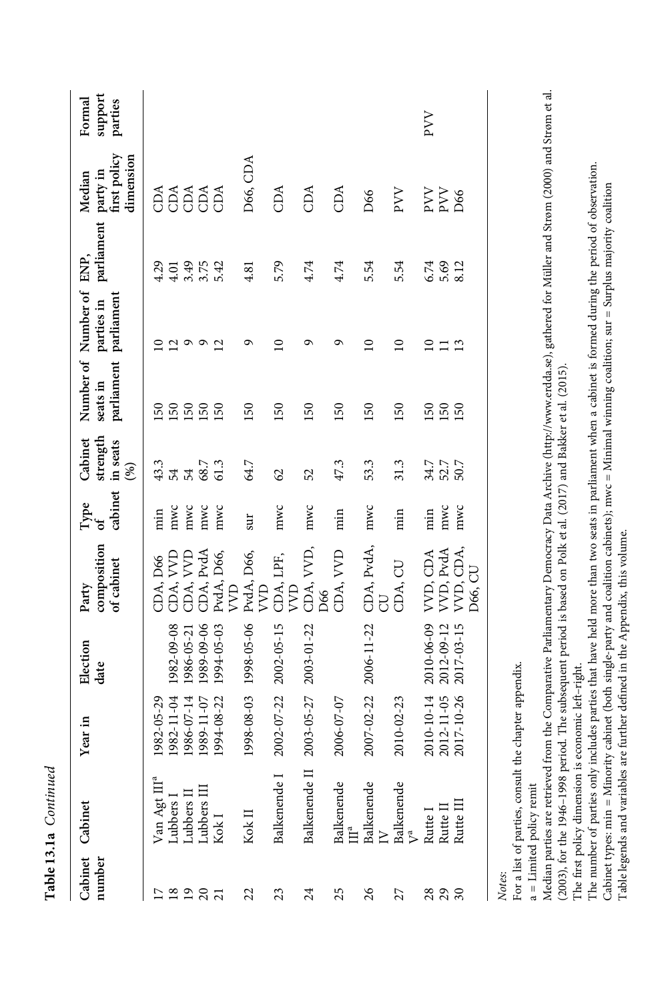| number          | Cabinet Cabinet                                                                                                                                                                    | Year in               | Election<br>date      | composition<br>of cabinet<br>Party | cabinet<br>Type<br>of | strength<br>Cabinet<br>in seats<br>$(\%)$ | parliament parliament<br>seats in       | Number of Number of ENP,<br>parties in | parliament   | party in<br>first policy<br>dimension<br>Median | support<br>Formal<br>parties |
|-----------------|------------------------------------------------------------------------------------------------------------------------------------------------------------------------------------|-----------------------|-----------------------|------------------------------------|-----------------------|-------------------------------------------|-----------------------------------------|----------------------------------------|--------------|-------------------------------------------------|------------------------------|
| $\overline{17}$ |                                                                                                                                                                                    | 1982-05-29            |                       | CDA, D66                           | im                    | 43.3                                      | $50^{\circ}$                            |                                        | 4.29         | CDA                                             |                              |
|                 |                                                                                                                                                                                    | 1982-11-04            | 1982-09-08            |                                    |                       |                                           | 50                                      | $\overline{2}$                         | 4.01         |                                                 |                              |
|                 |                                                                                                                                                                                    | 1986-07-14            | 1986-05-21            | CDA, VVD<br>CDA, VVD               | mwc<br>mwc            | 54                                        |                                         | $\circ$                                |              |                                                 |                              |
| 2987            | $\begin{array}{l} \mathrm{Van \, Agt \, IIl}^a\\ \mathrm{Lubbers \, I}\\ \mathrm{Lubbers \, II}\\ \mathrm{Lubbers \, II}\\ \mathrm{Lubbers \, III}\\ \mathrm{Kok \, I}\end{array}$ | 1989-11-07            | 1989-09-06            | CDA, PvdA                          | mwc                   | 68.7                                      | $\begin{array}{c} 50 \\ 50 \end{array}$ | $\circ$                                | 3.75         | <b>BEAS</b>                                     |                              |
|                 |                                                                                                                                                                                    | 1994-08-22            | 1994-05-03            | PvdA, D66,                         | mwc                   | 61.3                                      | 50                                      | $\overline{2}$                         | 5.42         |                                                 |                              |
|                 |                                                                                                                                                                                    |                       |                       | R                                  |                       |                                           |                                         |                                        |              |                                                 |                              |
| 22              | Kok II                                                                                                                                                                             |                       | 1998-08-03 1998-05-06 | PvdA, D66,<br>R                    | sur                   | 64.7                                      | 150                                     | ᡡ                                      | 4.81         | D66, CDA                                        |                              |
| 23              | Balkenende I                                                                                                                                                                       | 2002-07-22 2002-05-15 |                       | CDA, LPF,<br>R                     | mwc                   | 62                                        | 150                                     | $\Xi$                                  | 5.79         | CDA                                             |                              |
| 24              | Balkenende II                                                                                                                                                                      | 2003-05-27            | 2003-01-22            | CDA, VVD,<br>D66                   | mwc                   | 52                                        | 150                                     | ᡋ                                      | 4.74         | CDA                                             |                              |
| 25              | ${\rm Balkenende} \\ {\rm III}^{\rm a}$                                                                                                                                            | 2006-07-07            |                       | CDA, VVD                           | min                   | 47.3                                      | 150                                     | ᡡ                                      | 4.74         | CDA                                             |                              |
| $\frac{26}{5}$  | Balkenende                                                                                                                                                                         | 2007-02-22            | 2006-11-22            | CDA, PvdA,                         | mwc                   | 53.3                                      | 150                                     | $\Xi$                                  | 5.54         | D66                                             |                              |
| 27              | Balkenende ${\rm V}^{\rm a}$                                                                                                                                                       | 2010-02-23            |                       | CDA, CU                            | min                   | 31.3                                      | 150                                     | $\Omega$                               | 5.54         | PVV                                             |                              |
|                 | Rutte I<br>Rutte II                                                                                                                                                                | 2010-10-14            | 2010-06-09            | VVD, CDA                           | min                   |                                           | 150                                     | $\Omega$                               | 6.74         |                                                 | PVV                          |
| 898             |                                                                                                                                                                                    | 2012-11-05            | 2012-09-12            | VVD, PvdA                          | mwc                   | 34.7<br>52.7<br>50.7                      | 150                                     | $\Xi$                                  | 5.69<br>8.12 | $\frac{258}{256}$                               |                              |
|                 | Rutte III                                                                                                                                                                          | 2017-10-26            | 2017-03-15            | VVD, CDA,<br>F<br>D66,             | mwc                   |                                           | <b>150</b>                              | $\mathbf{r}$                           |              |                                                 |                              |
| Notes:          |                                                                                                                                                                                    |                       |                       |                                    |                       |                                           |                                         |                                        |              |                                                 |                              |

For a list of parties, consult the chapter appendix. For a list of parties, consult the chapter appendix.

a = Limited policy remit a = Limited policy remit

Median parties are retrieved from the Comparative Parliamentary Democracy Data Archive (http://www.erdda.se), gathered for Müller and Strøm (2000) and Strøm et al. Median parties are retrieved from the Comparative Parliamentary Democracy Data Archive (http://www.erdda.se), gathered for Müller and Strøm (2000) and Strøm et al.  $(2003)$ , for the 1946-1998 period. The subsequent period is based on Polk et al.  $(2017)$  and Bakker et al.  $(2015)$ . (2003), for the 1946–1998 period. The subsequent period is based on Polk et al. (2017) and Bakker et al. (2015).

The first policy dimension is economic left-right. The first policy dimension is economic left–right.

The number of parties only includes parties that have held more than two seats in parliament when a cabinet is formed during the period of observation. The number of parties only includes parties that have held more than two seats in parliament when a cabinet is formed during the period of observation. Cabinet types: min = Minority cabinet (both single-party and coalition cabinets); mwc = Minimal winning coalition; sur = Surplus majority coalition Cabinet types: min = Minority cabinet (both single-party and coalition cabinets); mwc = Minimal winning coalition; sur = Surplus majority coalition Table legends and variables are further defined in the Appendix, this volume. Table legends and variables are further defined in the Appendix, this volume.

Table 13.1a Continued Table 13.1a Continued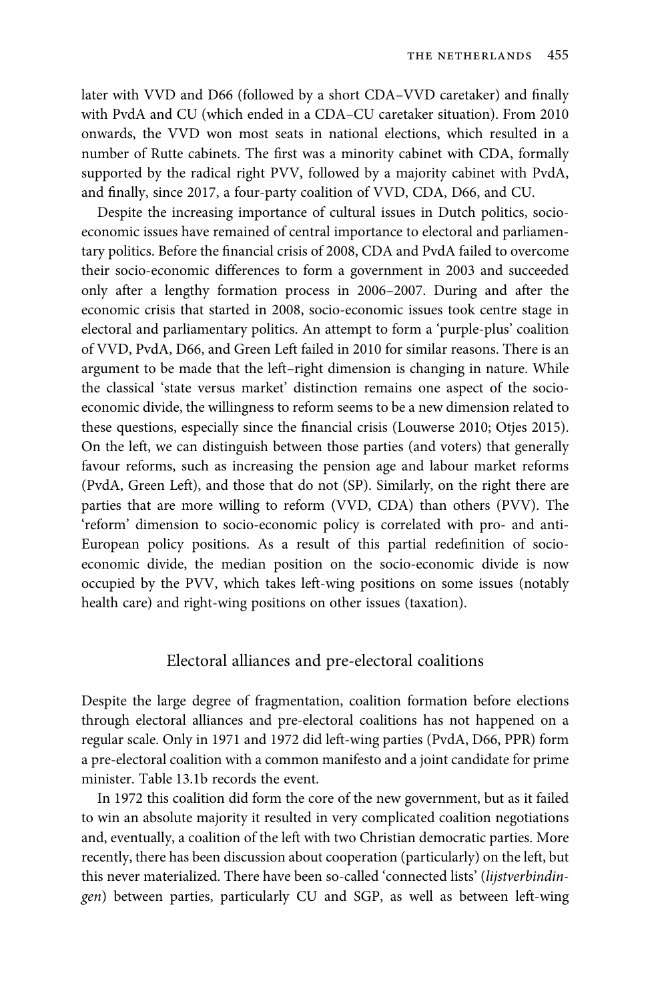later with VVD and D66 (followed by a short CDA–VVD caretaker) and finally with PvdA and CU (which ended in a CDA–CU caretaker situation). From 2010 onwards, the VVD won most seats in national elections, which resulted in a number of Rutte cabinets. The first was a minority cabinet with CDA, formally supported by the radical right PVV, followed by a majority cabinet with PvdA, and finally, since 2017, a four-party coalition of VVD, CDA, D66, and CU.

Despite the increasing importance of cultural issues in Dutch politics, socioeconomic issues have remained of central importance to electoral and parliamentary politics. Before the financial crisis of 2008, CDA and PvdA failed to overcome their socio-economic differences to form a government in 2003 and succeeded only after a lengthy formation process in 2006–2007. During and after the economic crisis that started in 2008, socio-economic issues took centre stage in electoral and parliamentary politics. An attempt to form a 'purple-plus' coalition of VVD, PvdA, D66, and Green Left failed in 2010 for similar reasons. There is an argument to be made that the left–right dimension is changing in nature. While the classical 'state versus market' distinction remains one aspect of the socioeconomic divide, the willingness to reform seems to be a new dimension related to these questions, especially since the financial crisis (Louwerse 2010; Otjes 2015). On the left, we can distinguish between those parties (and voters) that generally favour reforms, such as increasing the pension age and labour market reforms (PvdA, Green Left), and those that do not (SP). Similarly, on the right there are parties that are more willing to reform (VVD, CDA) than others (PVV). The 'reform' dimension to socio-economic policy is correlated with pro- and anti-European policy positions. As a result of this partial redefinition of socioeconomic divide, the median position on the socio-economic divide is now occupied by the PVV, which takes left-wing positions on some issues (notably health care) and right-wing positions on other issues (taxation).

# Electoral alliances and pre-electoral coalitions

Despite the large degree of fragmentation, coalition formation before elections through electoral alliances and pre-electoral coalitions has not happened on a regular scale. Only in 1971 and 1972 did left-wing parties (PvdA, D66, PPR) form a pre-electoral coalition with a common manifesto and a joint candidate for prime minister. Table 13.1b records the event.

In 1972 this coalition did form the core of the new government, but as it failed to win an absolute majority it resulted in very complicated coalition negotiations and, eventually, a coalition of the left with two Christian democratic parties. More recently, there has been discussion about cooperation (particularly) on the left, but this never materialized. There have been so-called 'connected lists' (lijstverbindingen) between parties, particularly CU and SGP, as well as between left-wing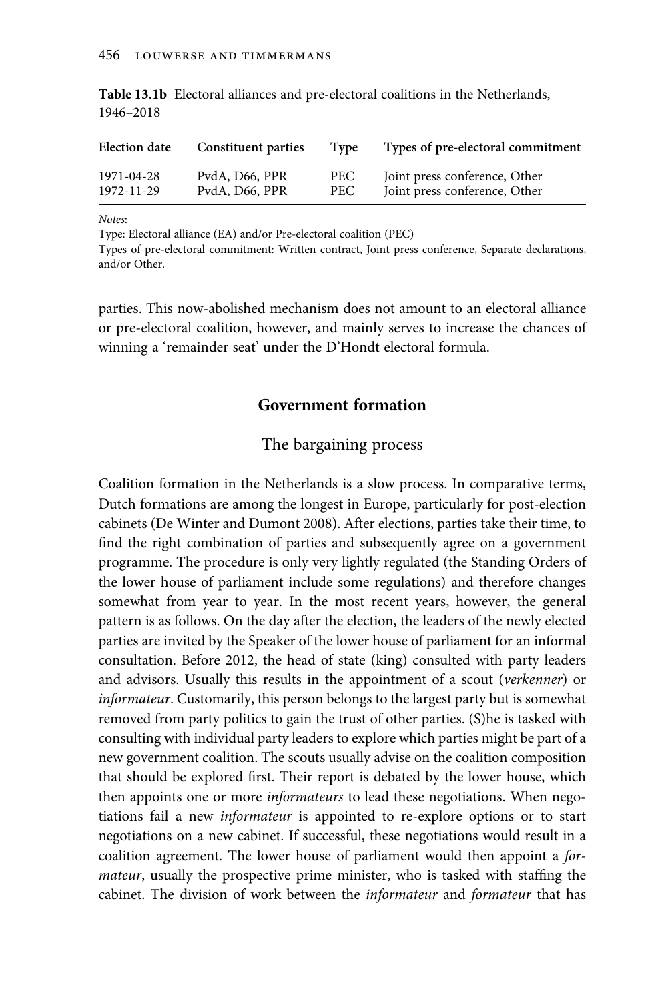| <b>Election date</b> | <b>Constituent parties</b> | Type | Types of pre-electoral commitment |
|----------------------|----------------------------|------|-----------------------------------|
| 1971-04-28           | PydA, D66, PPR             | PEC. | Joint press conference, Other     |
| 1972-11-29           | PvdA, D66, PPR             | PEC. | Joint press conference, Other     |

Table 13.1b Electoral alliances and pre-electoral coalitions in the Netherlands, 1946–2018

Notes:

Type: Electoral alliance (EA) and/or Pre-electoral coalition (PEC)

Types of pre-electoral commitment: Written contract, Joint press conference, Separate declarations, and/or Other.

parties. This now-abolished mechanism does not amount to an electoral alliance or pre-electoral coalition, however, and mainly serves to increase the chances of winning a 'remainder seat' under the D'Hondt electoral formula.

## Government formation

# The bargaining process

Coalition formation in the Netherlands is a slow process. In comparative terms, Dutch formations are among the longest in Europe, particularly for post-election cabinets (De Winter and Dumont 2008). After elections, parties take their time, to find the right combination of parties and subsequently agree on a government programme. The procedure is only very lightly regulated (the Standing Orders of the lower house of parliament include some regulations) and therefore changes somewhat from year to year. In the most recent years, however, the general pattern is as follows. On the day after the election, the leaders of the newly elected parties are invited by the Speaker of the lower house of parliament for an informal consultation. Before 2012, the head of state (king) consulted with party leaders and advisors. Usually this results in the appointment of a scout (verkenner) or informateur. Customarily, this person belongs to the largest party but is somewhat removed from party politics to gain the trust of other parties. (S)he is tasked with consulting with individual party leaders to explore which parties might be part of a new government coalition. The scouts usually advise on the coalition composition that should be explored first. Their report is debated by the lower house, which then appoints one or more *informateurs* to lead these negotiations. When negotiations fail a new informateur is appointed to re-explore options or to start negotiations on a new cabinet. If successful, these negotiations would result in a coalition agreement. The lower house of parliament would then appoint a formateur, usually the prospective prime minister, who is tasked with staffing the cabinet. The division of work between the informateur and formateur that has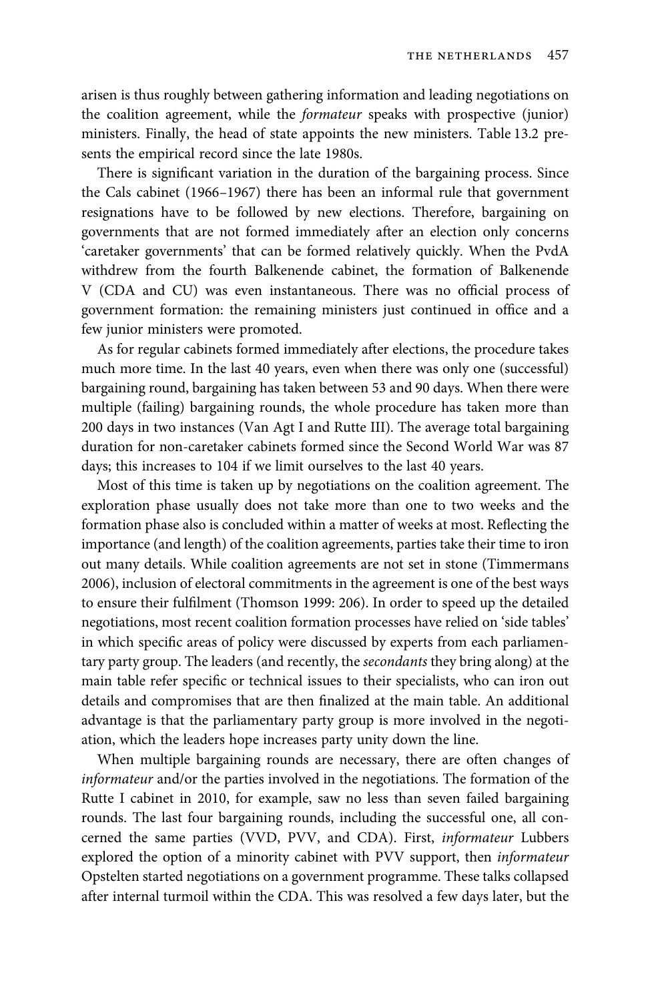arisen is thus roughly between gathering information and leading negotiations on the coalition agreement, while the formateur speaks with prospective (junior) ministers. Finally, the head of state appoints the new ministers. Table 13.2 presents the empirical record since the late 1980s.

There is significant variation in the duration of the bargaining process. Since the Cals cabinet (1966–1967) there has been an informal rule that government resignations have to be followed by new elections. Therefore, bargaining on governments that are not formed immediately after an election only concerns 'caretaker governments' that can be formed relatively quickly. When the PvdA withdrew from the fourth Balkenende cabinet, the formation of Balkenende V (CDA and CU) was even instantaneous. There was no official process of government formation: the remaining ministers just continued in office and a few junior ministers were promoted.

As for regular cabinets formed immediately after elections, the procedure takes much more time. In the last 40 years, even when there was only one (successful) bargaining round, bargaining has taken between 53 and 90 days. When there were multiple (failing) bargaining rounds, the whole procedure has taken more than 200 days in two instances (Van Agt I and Rutte III). The average total bargaining duration for non-caretaker cabinets formed since the Second World War was 87 days; this increases to 104 if we limit ourselves to the last 40 years.

Most of this time is taken up by negotiations on the coalition agreement. The exploration phase usually does not take more than one to two weeks and the formation phase also is concluded within a matter of weeks at most. Reflecting the importance (and length) of the coalition agreements, parties take their time to iron out many details. While coalition agreements are not set in stone (Timmermans 2006), inclusion of electoral commitments in the agreement is one of the best ways to ensure their fulfilment (Thomson 1999: 206). In order to speed up the detailed negotiations, most recent coalition formation processes have relied on 'side tables' in which specific areas of policy were discussed by experts from each parliamentary party group. The leaders (and recently, the secondants they bring along) at the main table refer specific or technical issues to their specialists, who can iron out details and compromises that are then finalized at the main table. An additional advantage is that the parliamentary party group is more involved in the negotiation, which the leaders hope increases party unity down the line.

When multiple bargaining rounds are necessary, there are often changes of informateur and/or the parties involved in the negotiations. The formation of the Rutte I cabinet in 2010, for example, saw no less than seven failed bargaining rounds. The last four bargaining rounds, including the successful one, all concerned the same parties (VVD, PVV, and CDA). First, informateur Lubbers explored the option of a minority cabinet with PVV support, then informateur Opstelten started negotiations on a government programme. These talks collapsed after internal turmoil within the CDA. This was resolved a few days later, but the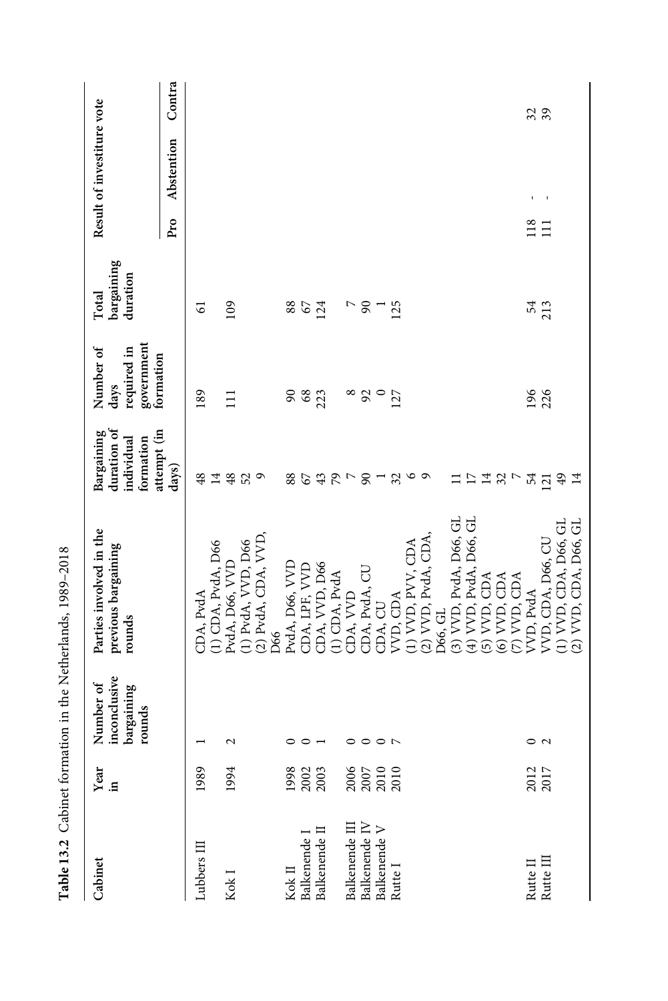| Cabinet                                                             | ${\rm Year}$ in                                                | inconclusive<br>Number of<br>bargaining<br>rounds | Parties involved in the<br>previous bargaining<br>rounds | duration of<br>attempt (in<br>Bargaining<br>formation<br>individual | government<br>required in<br>Number of<br>formation<br>days | bargaining<br>duration<br>Total | Result of investiture vote |        |
|---------------------------------------------------------------------|----------------------------------------------------------------|---------------------------------------------------|----------------------------------------------------------|---------------------------------------------------------------------|-------------------------------------------------------------|---------------------------------|----------------------------|--------|
|                                                                     |                                                                |                                                   |                                                          | days)                                                               |                                                             |                                 | Abstention<br>Pro          | Contra |
| Lubbers III                                                         | 1989                                                           |                                                   | CDA, PvdA                                                | 48                                                                  | 189                                                         | 6                               |                            |        |
|                                                                     |                                                                |                                                   | (1) CDA, PvdA, D66                                       | 14                                                                  |                                                             |                                 |                            |        |
| Kok I                                                               | 1994                                                           | $\mathbf 2$                                       | PvdA, D66, VVD                                           | 48                                                                  | $\Xi$                                                       | $^{109}$                        |                            |        |
|                                                                     |                                                                |                                                   | (1) PvdA, VVD, D66                                       | 52                                                                  |                                                             |                                 |                            |        |
|                                                                     |                                                                |                                                   | (2) PvdA, CDA, VVD,                                      | $\circ$                                                             |                                                             |                                 |                            |        |
|                                                                     |                                                                |                                                   | D66                                                      |                                                                     |                                                             |                                 |                            |        |
|                                                                     |                                                                |                                                   | PvdA, D66, VVD                                           | 88                                                                  | 90                                                          | 88                              |                            |        |
| Kok II<br>Balkenende I                                              |                                                                |                                                   | CDA, LPF, VVD                                            | 67                                                                  | $68\,$                                                      | 67                              |                            |        |
| Balkenende II                                                       | 1998<br>2002<br>2003                                           |                                                   | CDA, VVD, D66                                            | 43                                                                  | 223                                                         | 124                             |                            |        |
|                                                                     |                                                                |                                                   | 1) CDA, PvdA                                             |                                                                     |                                                             |                                 |                            |        |
| Balkenende III                                                      |                                                                | 0                                                 | DA, VVD                                                  | $\frac{5}{2}$                                                       |                                                             |                                 |                            |        |
| Balkenende IV                                                       |                                                                | $\circ$                                           | CDA, PvdA, CU                                            | $\infty$                                                            | $\frac{8}{9}$                                               | 8                               |                            |        |
| Balkenende V                                                        |                                                                | $\circ$ $\sim$                                    | CDA, CU                                                  | $\overline{a}$                                                      | $\circ$                                                     |                                 |                            |        |
| Rutte I                                                             | $\begin{array}{c} 2000 \\ 2007 \\ 2010 \\ 2010 \\ \end{array}$ |                                                   | VVD, CDA                                                 | $\mathfrak{Z}$                                                      | 127                                                         | 125                             |                            |        |
|                                                                     |                                                                |                                                   | (1) VVD, PVV, CDA                                        | $\circ$                                                             |                                                             |                                 |                            |        |
|                                                                     |                                                                |                                                   | (2) VVD, PvdA, CDA,                                      | $\circ$                                                             |                                                             |                                 |                            |        |
|                                                                     |                                                                |                                                   | D66, GL                                                  |                                                                     |                                                             |                                 |                            |        |
|                                                                     |                                                                |                                                   | (3) VVD, PvdA, D66, GL                                   |                                                                     |                                                             |                                 |                            |        |
|                                                                     |                                                                |                                                   | (4) VVD, PvdA, D66, GL                                   | $\overline{17}$                                                     |                                                             |                                 |                            |        |
|                                                                     |                                                                |                                                   | $(5)$ VVD, CDA                                           | $\overline{1}$                                                      |                                                             |                                 |                            |        |
|                                                                     |                                                                |                                                   | (6) VVD, CDA                                             | $\mathfrak{Z}$                                                      |                                                             |                                 |                            |        |
|                                                                     |                                                                |                                                   | $(7)$ VVD, CDA                                           |                                                                     |                                                             |                                 |                            |        |
|                                                                     |                                                                |                                                   | VVD, PvdA                                                | 54                                                                  | 196                                                         | 54                              | 118                        |        |
| $\begin{array}{ll} \text{Rutte II} \\ \text{Rutte III} \end{array}$ | 2012<br>2017                                                   | $\circ$ a                                         | VVD, CDA, D66, CU                                        | $\overline{21}$                                                     | 226                                                         | 213                             | t<br>$\Xi$                 | 32     |
|                                                                     |                                                                |                                                   | (1) VVD, CDA, D66, GL                                    | ₽                                                                   |                                                             |                                 |                            |        |
|                                                                     |                                                                |                                                   | (2) VVD, CDA, D66, GL                                    |                                                                     |                                                             |                                 |                            |        |

Table 13.2 Cabinet formation in the Netherlands, 1989–2018

Table 13.2 Cabinet formation in the Netherlands, 1989-2018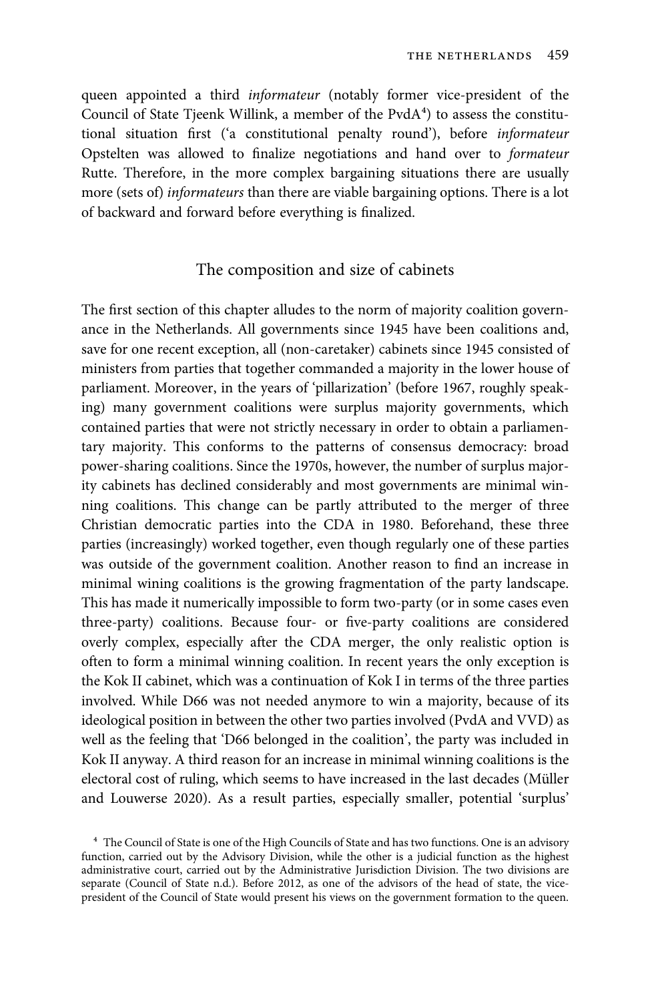queen appointed a third informateur (notably former vice-president of the Council of State Tjeenk Willink, a member of the PvdA<sup>4</sup>) to assess the constitutional situation first ('a constitutional penalty round'), before informateur Opstelten was allowed to finalize negotiations and hand over to formateur Rutte. Therefore, in the more complex bargaining situations there are usually more (sets of) informateurs than there are viable bargaining options. There is a lot of backward and forward before everything is finalized.

## The composition and size of cabinets

The first section of this chapter alludes to the norm of majority coalition governance in the Netherlands. All governments since 1945 have been coalitions and, save for one recent exception, all (non-caretaker) cabinets since 1945 consisted of ministers from parties that together commanded a majority in the lower house of parliament. Moreover, in the years of 'pillarization' (before 1967, roughly speaking) many government coalitions were surplus majority governments, which contained parties that were not strictly necessary in order to obtain a parliamentary majority. This conforms to the patterns of consensus democracy: broad power-sharing coalitions. Since the 1970s, however, the number of surplus majority cabinets has declined considerably and most governments are minimal winning coalitions. This change can be partly attributed to the merger of three Christian democratic parties into the CDA in 1980. Beforehand, these three parties (increasingly) worked together, even though regularly one of these parties was outside of the government coalition. Another reason to find an increase in minimal wining coalitions is the growing fragmentation of the party landscape. This has made it numerically impossible to form two-party (or in some cases even three-party) coalitions. Because four- or five-party coalitions are considered overly complex, especially after the CDA merger, the only realistic option is often to form a minimal winning coalition. In recent years the only exception is the Kok II cabinet, which was a continuation of Kok I in terms of the three parties involved. While D66 was not needed anymore to win a majority, because of its ideological position in between the other two parties involved (PvdA and VVD) as well as the feeling that 'D66 belonged in the coalition', the party was included in Kok II anyway. A third reason for an increase in minimal winning coalitions is the electoral cost of ruling, which seems to have increased in the last decades (Müller and Louwerse 2020). As a result parties, especially smaller, potential 'surplus'

⁴ The Council of State is one of the High Councils of State and has two functions. One is an advisory function, carried out by the Advisory Division, while the other is a judicial function as the highest administrative court, carried out by the Administrative Jurisdiction Division. The two divisions are separate (Council of State n.d.). Before 2012, as one of the advisors of the head of state, the vicepresident of the Council of State would present his views on the government formation to the queen.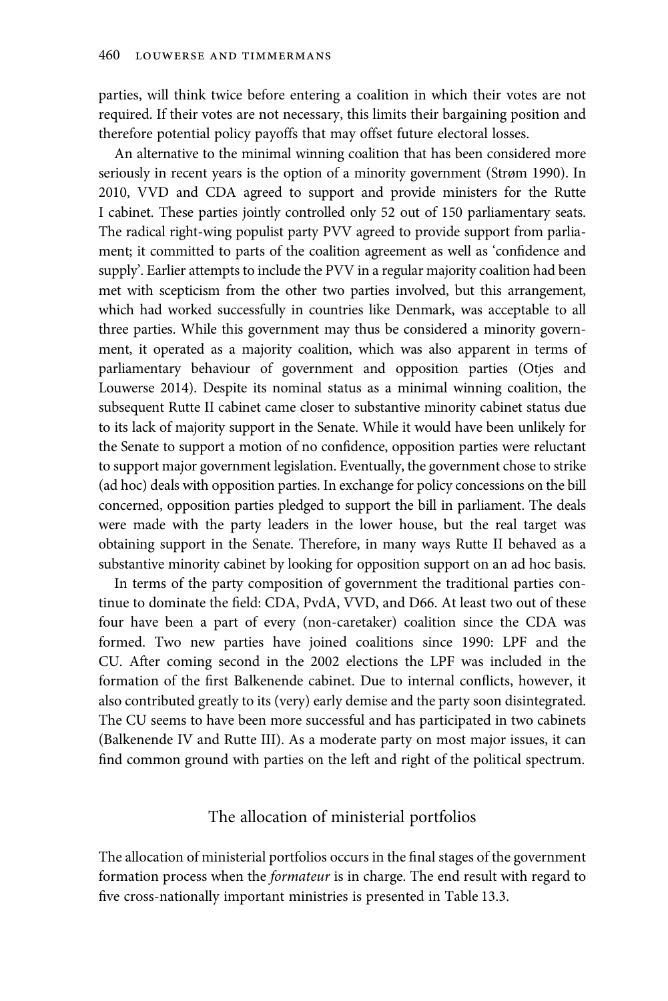parties, will think twice before entering a coalition in which their votes are not required. If their votes are not necessary, this limits their bargaining position and therefore potential policy payoffs that may offset future electoral losses.

An alternative to the minimal winning coalition that has been considered more seriously in recent years is the option of a minority government (Strøm 1990). In 2010, VVD and CDA agreed to support and provide ministers for the Rutte I cabinet. These parties jointly controlled only 52 out of 150 parliamentary seats. The radical right-wing populist party PVV agreed to provide support from parliament; it committed to parts of the coalition agreement as well as 'confidence and supply'. Earlier attempts to include the PVV in a regular majority coalition had been met with scepticism from the other two parties involved, but this arrangement, which had worked successfully in countries like Denmark, was acceptable to all three parties. While this government may thus be considered a minority government, it operated as a majority coalition, which was also apparent in terms of parliamentary behaviour of government and opposition parties (Otjes and Louwerse 2014). Despite its nominal status as a minimal winning coalition, the subsequent Rutte II cabinet came closer to substantive minority cabinet status due to its lack of majority support in the Senate. While it would have been unlikely for the Senate to support a motion of no confidence, opposition parties were reluctant to support major government legislation. Eventually, the government chose to strike (ad hoc) deals with opposition parties. In exchange for policy concessions on the bill concerned, opposition parties pledged to support the bill in parliament. The deals were made with the party leaders in the lower house, but the real target was obtaining support in the Senate. Therefore, in many ways Rutte II behaved as a substantive minority cabinet by looking for opposition support on an ad hoc basis.

In terms of the party composition of government the traditional parties continue to dominate the field: CDA, PvdA, VVD, and D66. At least two out of these four have been a part of every (non-caretaker) coalition since the CDA was formed. Two new parties have joined coalitions since 1990: LPF and the CU. After coming second in the 2002 elections the LPF was included in the formation of the first Balkenende cabinet. Due to internal conflicts, however, it also contributed greatly to its (very) early demise and the party soon disintegrated. The CU seems to have been more successful and has participated in two cabinets (Balkenende IV and Rutte III). As a moderate party on most major issues, it can find common ground with parties on the left and right of the political spectrum.

# The allocation of ministerial portfolios

The allocation of ministerial portfolios occurs in the final stages of the government formation process when the formateur is in charge. The end result with regard to five cross-nationally important ministries is presented in Table 13.3.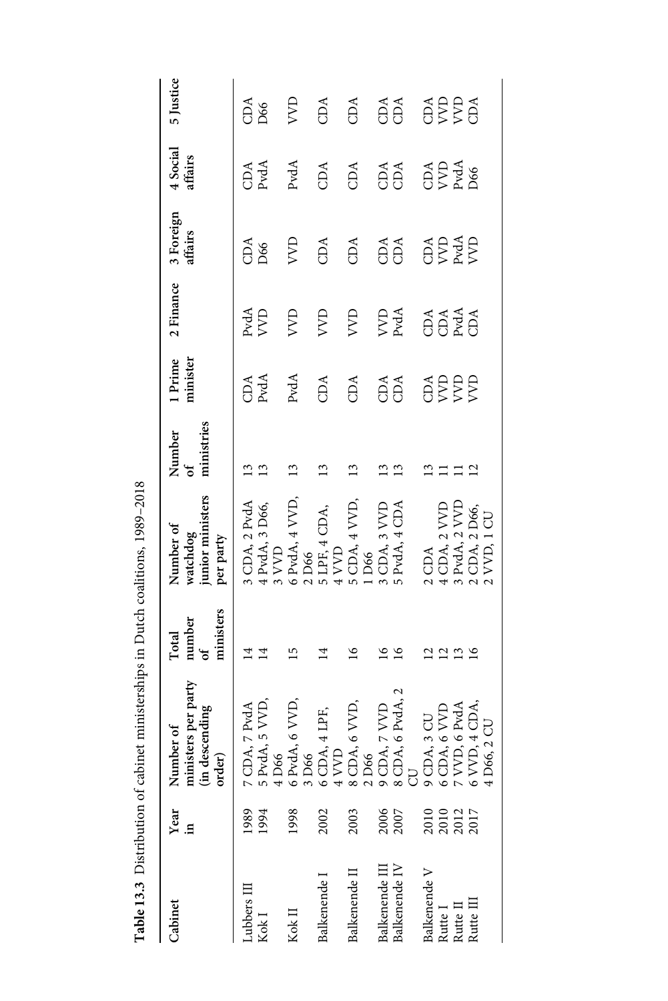| Cabinet                               | Year<br>≘.   | Number of<br>ministers per party<br>(in descending<br>order)                                                                                                                                                                                                                                                                                                                                 | ministers<br>number<br>of<br>Total | watchdog<br>junior ministers<br>Number of<br>per party                                                                                     | ministries<br>Number<br>of | 1 Prime<br>minister | 2 Finance   | 3 Foreign<br>affairs       | 4 Social<br>affairs        | 5 Justice        |
|---------------------------------------|--------------|----------------------------------------------------------------------------------------------------------------------------------------------------------------------------------------------------------------------------------------------------------------------------------------------------------------------------------------------------------------------------------------------|------------------------------------|--------------------------------------------------------------------------------------------------------------------------------------------|----------------------------|---------------------|-------------|----------------------------|----------------------------|------------------|
| Lubbers III<br>Kok I                  | 1989<br>1994 | $\begin{array}{c} 7 \text{ CDA}, 7 \text{ PvdA} \\ 5 \text{ PvdA}, 5 \text{ VVD}, \\ 4 \text{ D66} \end{array}$                                                                                                                                                                                                                                                                              | ヹ<br>$\overline{14}$               | 3 CDA, 2 PvdA<br>$4$ PvdA, $3$ D66, $3$ VVD                                                                                                |                            | CDA<br>PvdA         | PvdA<br>VVD | CD <sub>6</sub>            | CDA<br>PvdA                | CD <sub>66</sub> |
| Kok $\Pi$                             | 1998         |                                                                                                                                                                                                                                                                                                                                                                                              | $\overline{5}$                     | $6$ PvdA, $4$ VVD, $2$ D66                                                                                                                 | $\mathbf{1}$               | $_{\rm PvdA}$       | R           | $\overline{\text{X}}$      | PvdA                       | R                |
| Balkenende I                          | 2002         |                                                                                                                                                                                                                                                                                                                                                                                              |                                    |                                                                                                                                            |                            | CDA                 | <b>AVD</b>  | CDA                        | CDA                        | CDA              |
| Balkenende II                         | 2003         |                                                                                                                                                                                                                                                                                                                                                                                              | $\tilde{9}$                        | $\begin{array}{l} \text{5 LPF, 4 CDA,}\\ \text{4 VVD}\\ \text{5 CDA, 4 VVD,}\\ \text{1 D66}\end{array}$                                    | ≌                          | CDA                 | <b>AA</b>   | CDA                        | CDA                        | CDA              |
| Balkenende IV<br>Balkenende III       | 2006<br>2007 | $\begin{array}{l} 6\text{ PvdA, }6\text{ VVD,}\\ 3\text{ D66}\\ 6\text{ CDA, 4 LPF,}\\ 4\text{ VVD}\\ 2\text{ D66}\\ 2\text{ D66}\\ 9\text{ CDA, }7\text{ VVD}\\ 8\text{ CDA, }6\text{ PvdA, }2\\ 9\text{ CDA, }6\text{ PvdA, }2\\ 9\text{ CDA, }8\text{ CVD}\\ 9\text{ CDA, }8\text{ VVD}\\ 6\text{ CDA, }6\text{ VVD}\\ 4\text{ D66, }2\text{ CU}\\ 4\text{ D66, }2\text{ CU} \end{array}$ | $\frac{8}{16}$<br>≌                | 3 CDA, 3 VVD<br>5 PvdA, 4 CDA                                                                                                              | ≌                          | CDA<br>CDA          | VVD<br>PvdA | CDA<br>CDA                 | $\tilde{\Theta}^A$         | CDA<br>CDA       |
| Balkenende V                          |              |                                                                                                                                                                                                                                                                                                                                                                                              |                                    |                                                                                                                                            |                            |                     |             |                            |                            |                  |
| $\mbox{Rutte}$ $\mbox{II}$<br>Rutte I |              |                                                                                                                                                                                                                                                                                                                                                                                              | 2222                               |                                                                                                                                            |                            | <b>ASSES</b>        | <b>AASA</b> | <b>ODA</b><br>BEAR<br>BEAR | OP<br>OP<br>AS<br>AS<br>DS | <b>ASSE</b>      |
| Rutte III                             |              |                                                                                                                                                                                                                                                                                                                                                                                              |                                    | $\begin{array}{c} \text{2 CDA} \\ \text{4 CDA, 2 VVD} \\ \text{3 PvdA, 2 VVD} \\ \text{2 CDA, 2 D66,} \\ \text{2 CDA, 2 D66,} \end{array}$ | $\mathbf{u}$               |                     |             |                            |                            |                  |
|                                       |              |                                                                                                                                                                                                                                                                                                                                                                                              |                                    |                                                                                                                                            |                            |                     |             |                            |                            |                  |

Table 13.3 Distribution of cabinet ministerships in Dutch coalitions, 1989-2018 Table 13.3 Distribution of cabinet ministerships in Dutch coalitions, 1989–2018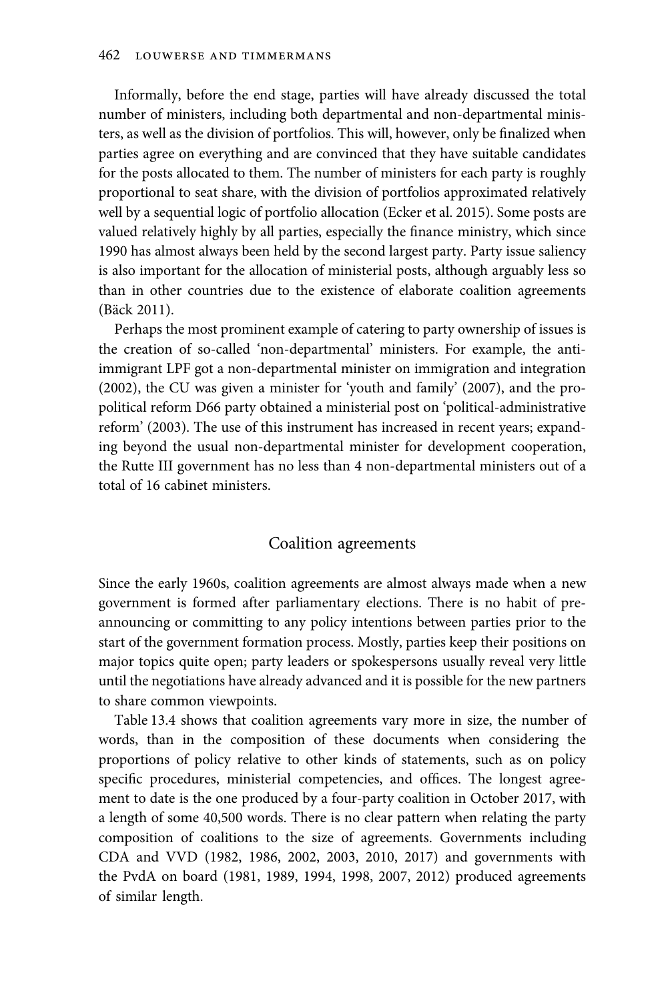Informally, before the end stage, parties will have already discussed the total number of ministers, including both departmental and non-departmental ministers, as well as the division of portfolios. This will, however, only be finalized when parties agree on everything and are convinced that they have suitable candidates for the posts allocated to them. The number of ministers for each party is roughly proportional to seat share, with the division of portfolios approximated relatively well by a sequential logic of portfolio allocation (Ecker et al. 2015). Some posts are valued relatively highly by all parties, especially the finance ministry, which since 1990 has almost always been held by the second largest party. Party issue saliency is also important for the allocation of ministerial posts, although arguably less so than in other countries due to the existence of elaborate coalition agreements (Bäck 2011).

Perhaps the most prominent example of catering to party ownership of issues is the creation of so-called 'non-departmental' ministers. For example, the antiimmigrant LPF got a non-departmental minister on immigration and integration (2002), the CU was given a minister for 'youth and family' (2007), and the propolitical reform D66 party obtained a ministerial post on 'political-administrative reform' (2003). The use of this instrument has increased in recent years; expanding beyond the usual non-departmental minister for development cooperation, the Rutte III government has no less than 4 non-departmental ministers out of a total of 16 cabinet ministers.

#### Coalition agreements

Since the early 1960s, coalition agreements are almost always made when a new government is formed after parliamentary elections. There is no habit of preannouncing or committing to any policy intentions between parties prior to the start of the government formation process. Mostly, parties keep their positions on major topics quite open; party leaders or spokespersons usually reveal very little until the negotiations have already advanced and it is possible for the new partners to share common viewpoints.

Table 13.4 shows that coalition agreements vary more in size, the number of words, than in the composition of these documents when considering the proportions of policy relative to other kinds of statements, such as on policy specific procedures, ministerial competencies, and offices. The longest agreement to date is the one produced by a four-party coalition in October 2017, with a length of some 40,500 words. There is no clear pattern when relating the party composition of coalitions to the size of agreements. Governments including CDA and VVD (1982, 1986, 2002, 2003, 2010, 2017) and governments with the PvdA on board (1981, 1989, 1994, 1998, 2007, 2012) produced agreements of similar length.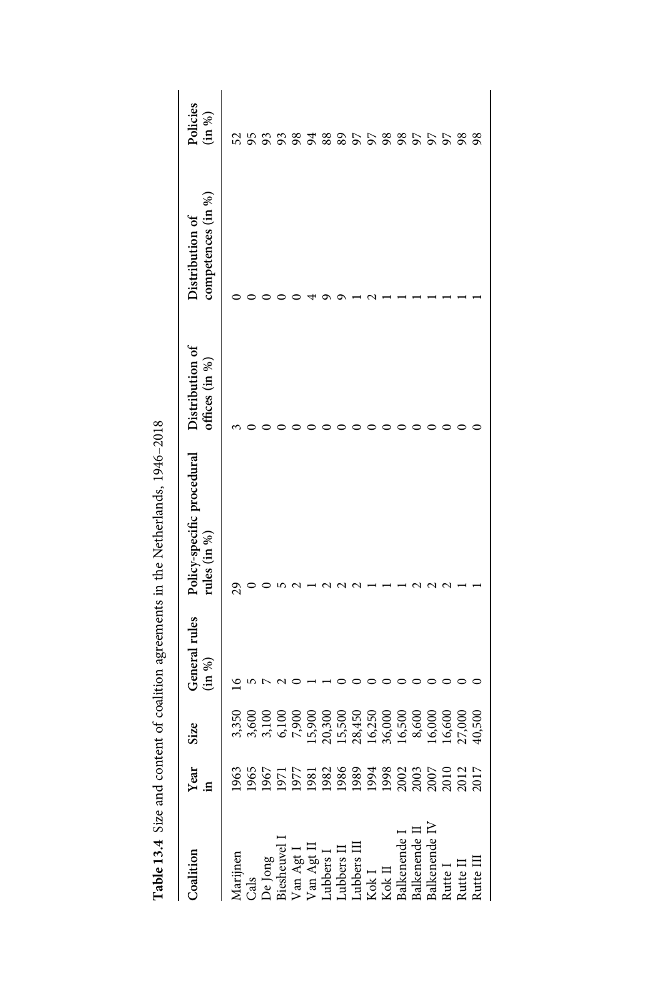| Coalition                                                                                                                                                                                                                                                                | <b>Year</b><br><b>in</b><br>1963<br>1965<br>1977<br>1977<br>1988 889<br>1988 993<br>1980<br>1980<br>1988 993<br>1980<br>1980<br>1980<br>1980<br>1980<br>1980<br>1980<br>1980<br>1980<br>1980<br>1980<br>1980<br>1980<br>1980<br>1980<br>1980<br>1980<br>1980<br>1980<br>1980<br>1980<br>1980<br>1980<br>1980 | Size  | General rules<br>(in %) | Policy-specific procedural<br>$_{\text{ules}}$ (in %) | Distribution of<br>offices $(in %)$ | competences (in %)<br>Distribution of | Policies<br>(in %) |
|--------------------------------------------------------------------------------------------------------------------------------------------------------------------------------------------------------------------------------------------------------------------------|--------------------------------------------------------------------------------------------------------------------------------------------------------------------------------------------------------------------------------------------------------------------------------------------------------------|-------|-------------------------|-------------------------------------------------------|-------------------------------------|---------------------------------------|--------------------|
| Marijnen<br>Cals<br>De Jong<br>De Jong<br>Diesheuvel I<br>Wan Agt I<br>Van Agt I<br>Lubbers II<br>Lubbers II<br>Lubbers II<br>Lubbers II<br>Lubbers II<br>Kok I<br>Kok I<br>Balkenende I<br>Balkenende I<br>Balkenende I<br>Balkenende I<br>Balkenende I<br>Balkenende I |                                                                                                                                                                                                                                                                                                              |       |                         |                                                       |                                     |                                       |                    |
|                                                                                                                                                                                                                                                                          |                                                                                                                                                                                                                                                                                                              |       |                         |                                                       |                                     |                                       | 55668688658865588  |
|                                                                                                                                                                                                                                                                          |                                                                                                                                                                                                                                                                                                              |       |                         |                                                       |                                     |                                       |                    |
|                                                                                                                                                                                                                                                                          |                                                                                                                                                                                                                                                                                                              |       |                         |                                                       |                                     |                                       |                    |
|                                                                                                                                                                                                                                                                          |                                                                                                                                                                                                                                                                                                              |       |                         |                                                       |                                     |                                       |                    |
|                                                                                                                                                                                                                                                                          |                                                                                                                                                                                                                                                                                                              |       |                         |                                                       |                                     |                                       |                    |
|                                                                                                                                                                                                                                                                          |                                                                                                                                                                                                                                                                                                              |       |                         |                                                       |                                     |                                       |                    |
|                                                                                                                                                                                                                                                                          |                                                                                                                                                                                                                                                                                                              |       |                         |                                                       |                                     |                                       |                    |
|                                                                                                                                                                                                                                                                          |                                                                                                                                                                                                                                                                                                              |       |                         |                                                       |                                     |                                       |                    |
|                                                                                                                                                                                                                                                                          |                                                                                                                                                                                                                                                                                                              |       |                         |                                                       |                                     |                                       |                    |
|                                                                                                                                                                                                                                                                          |                                                                                                                                                                                                                                                                                                              |       |                         |                                                       |                                     |                                       |                    |
|                                                                                                                                                                                                                                                                          |                                                                                                                                                                                                                                                                                                              |       |                         |                                                       |                                     |                                       |                    |
|                                                                                                                                                                                                                                                                          |                                                                                                                                                                                                                                                                                                              |       |                         |                                                       |                                     |                                       |                    |
|                                                                                                                                                                                                                                                                          |                                                                                                                                                                                                                                                                                                              |       |                         |                                                       |                                     |                                       |                    |
|                                                                                                                                                                                                                                                                          |                                                                                                                                                                                                                                                                                                              |       |                         |                                                       |                                     |                                       |                    |
|                                                                                                                                                                                                                                                                          |                                                                                                                                                                                                                                                                                                              |       |                         |                                                       |                                     |                                       |                    |
|                                                                                                                                                                                                                                                                          |                                                                                                                                                                                                                                                                                                              | 0,500 |                         |                                                       |                                     |                                       |                    |
|                                                                                                                                                                                                                                                                          |                                                                                                                                                                                                                                                                                                              |       |                         |                                                       |                                     |                                       |                    |

Table 13.4 Size and content of coalition agreements in the Netherlands, 1946-2018 Table 13.4 Size and content of coalition agreements in the Netherlands, 1946–2018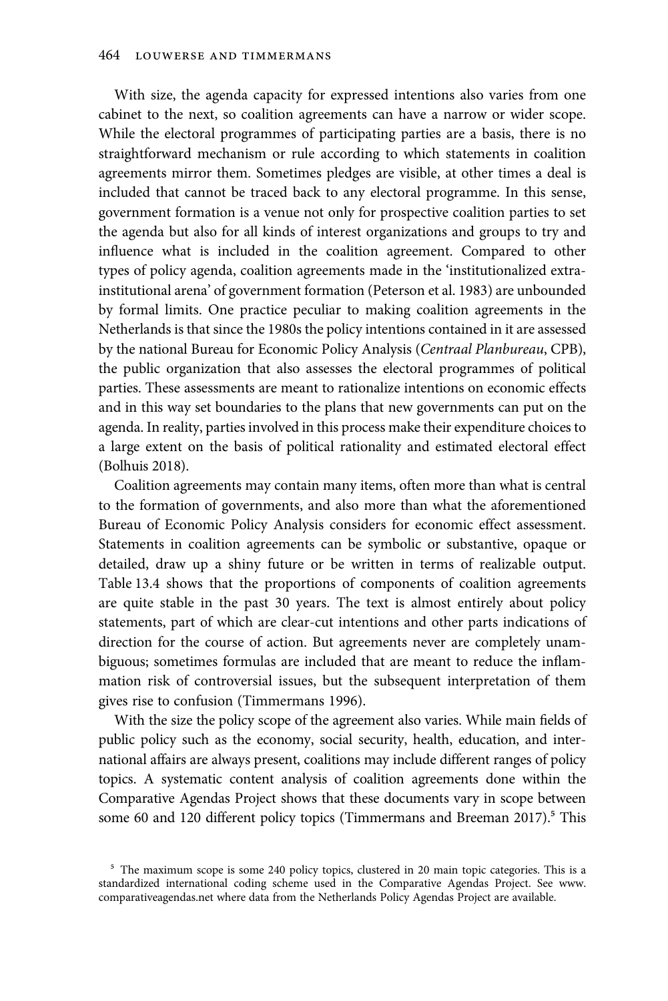With size, the agenda capacity for expressed intentions also varies from one cabinet to the next, so coalition agreements can have a narrow or wider scope. While the electoral programmes of participating parties are a basis, there is no straightforward mechanism or rule according to which statements in coalition agreements mirror them. Sometimes pledges are visible, at other times a deal is included that cannot be traced back to any electoral programme. In this sense, government formation is a venue not only for prospective coalition parties to set the agenda but also for all kinds of interest organizations and groups to try and influence what is included in the coalition agreement. Compared to other types of policy agenda, coalition agreements made in the 'institutionalized extrainstitutional arena' of government formation (Peterson et al. 1983) are unbounded by formal limits. One practice peculiar to making coalition agreements in the Netherlands is that since the 1980s the policy intentions contained in it are assessed by the national Bureau for Economic Policy Analysis (Centraal Planbureau, CPB), the public organization that also assesses the electoral programmes of political parties. These assessments are meant to rationalize intentions on economic effects and in this way set boundaries to the plans that new governments can put on the agenda. In reality, parties involved in this process make their expenditure choices to a large extent on the basis of political rationality and estimated electoral effect (Bolhuis 2018).

Coalition agreements may contain many items, often more than what is central to the formation of governments, and also more than what the aforementioned Bureau of Economic Policy Analysis considers for economic effect assessment. Statements in coalition agreements can be symbolic or substantive, opaque or detailed, draw up a shiny future or be written in terms of realizable output. Table 13.4 shows that the proportions of components of coalition agreements are quite stable in the past 30 years. The text is almost entirely about policy statements, part of which are clear-cut intentions and other parts indications of direction for the course of action. But agreements never are completely unambiguous; sometimes formulas are included that are meant to reduce the inflammation risk of controversial issues, but the subsequent interpretation of them gives rise to confusion (Timmermans 1996).

With the size the policy scope of the agreement also varies. While main fields of public policy such as the economy, social security, health, education, and international affairs are always present, coalitions may include different ranges of policy topics. A systematic content analysis of coalition agreements done within the Comparative Agendas Project shows that these documents vary in scope between some 60 and 120 different policy topics (Timmermans and Breeman 2017).<sup>5</sup> This

<sup>&</sup>lt;sup>5</sup> The maximum scope is some 240 policy topics, clustered in 20 main topic categories. This is a standardized international coding scheme used in the Comparative Agendas Project. See www. comparativeagendas.net where data from the Netherlands Policy Agendas Project are available.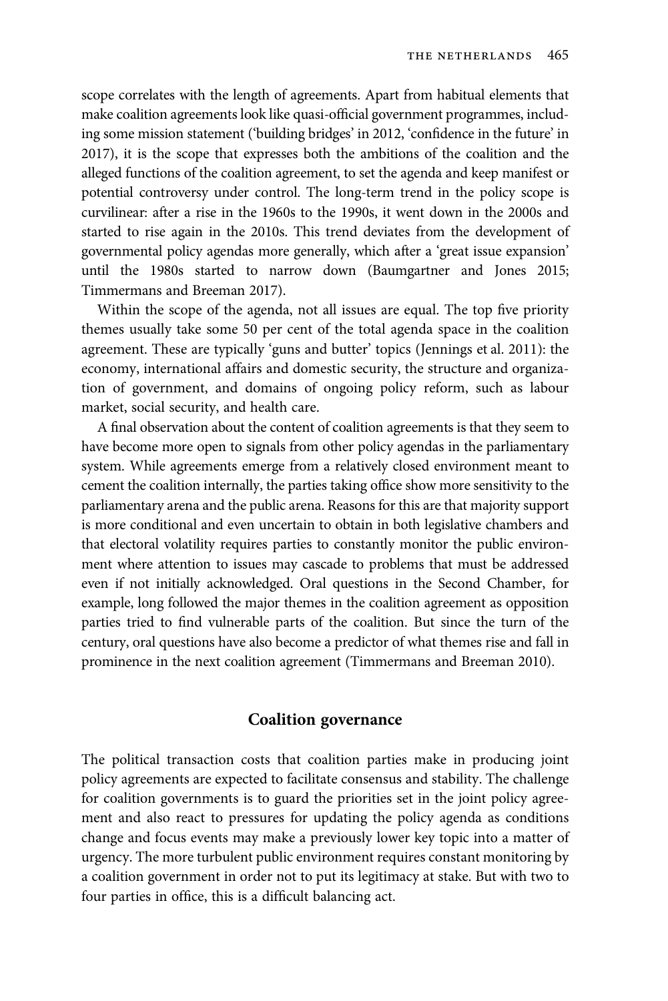scope correlates with the length of agreements. Apart from habitual elements that make coalition agreements look like quasi-official government programmes, including some mission statement ('building bridges' in 2012, 'confidence in the future' in 2017), it is the scope that expresses both the ambitions of the coalition and the alleged functions of the coalition agreement, to set the agenda and keep manifest or potential controversy under control. The long-term trend in the policy scope is curvilinear: after a rise in the 1960s to the 1990s, it went down in the 2000s and started to rise again in the 2010s. This trend deviates from the development of governmental policy agendas more generally, which after a 'great issue expansion' until the 1980s started to narrow down (Baumgartner and Jones 2015; Timmermans and Breeman 2017).

Within the scope of the agenda, not all issues are equal. The top five priority themes usually take some 50 per cent of the total agenda space in the coalition agreement. These are typically 'guns and butter' topics (Jennings et al. 2011): the economy, international affairs and domestic security, the structure and organization of government, and domains of ongoing policy reform, such as labour market, social security, and health care.

A final observation about the content of coalition agreements is that they seem to have become more open to signals from other policy agendas in the parliamentary system. While agreements emerge from a relatively closed environment meant to cement the coalition internally, the parties taking office show more sensitivity to the parliamentary arena and the public arena. Reasons for this are that majority support is more conditional and even uncertain to obtain in both legislative chambers and that electoral volatility requires parties to constantly monitor the public environment where attention to issues may cascade to problems that must be addressed even if not initially acknowledged. Oral questions in the Second Chamber, for example, long followed the major themes in the coalition agreement as opposition parties tried to find vulnerable parts of the coalition. But since the turn of the century, oral questions have also become a predictor of what themes rise and fall in prominence in the next coalition agreement (Timmermans and Breeman 2010).

#### Coalition governance

The political transaction costs that coalition parties make in producing joint policy agreements are expected to facilitate consensus and stability. The challenge for coalition governments is to guard the priorities set in the joint policy agreement and also react to pressures for updating the policy agenda as conditions change and focus events may make a previously lower key topic into a matter of urgency. The more turbulent public environment requires constant monitoring by a coalition government in order not to put its legitimacy at stake. But with two to four parties in office, this is a difficult balancing act.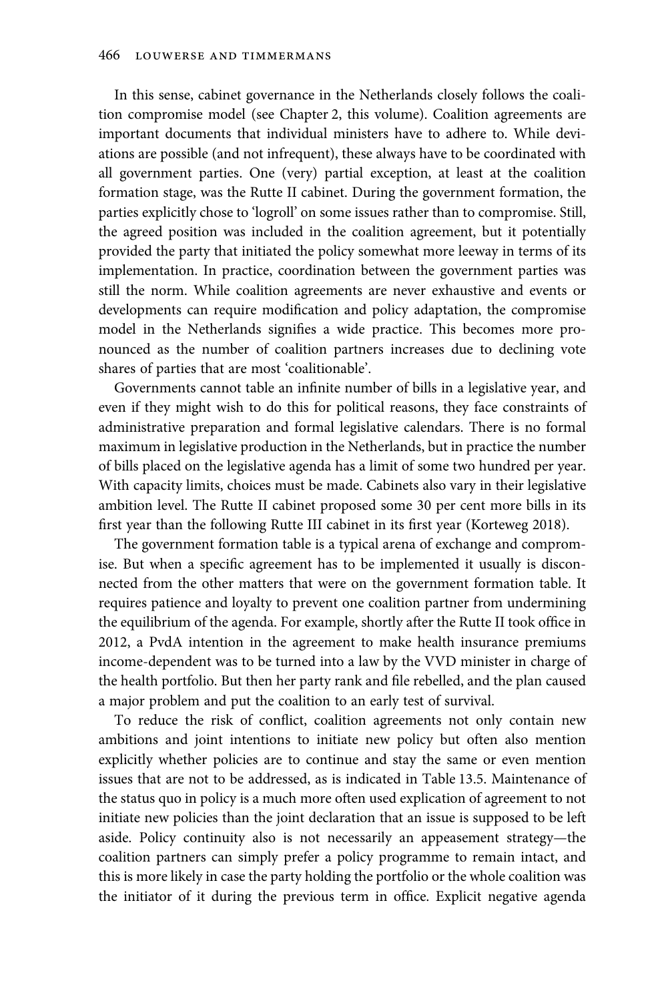In this sense, cabinet governance in the Netherlands closely follows the coalition compromise model (see Chapter 2, this volume). Coalition agreements are important documents that individual ministers have to adhere to. While deviations are possible (and not infrequent), these always have to be coordinated with all government parties. One (very) partial exception, at least at the coalition formation stage, was the Rutte II cabinet. During the government formation, the parties explicitly chose to 'logroll' on some issues rather than to compromise. Still, the agreed position was included in the coalition agreement, but it potentially provided the party that initiated the policy somewhat more leeway in terms of its implementation. In practice, coordination between the government parties was still the norm. While coalition agreements are never exhaustive and events or developments can require modification and policy adaptation, the compromise model in the Netherlands signifies a wide practice. This becomes more pronounced as the number of coalition partners increases due to declining vote shares of parties that are most 'coalitionable'.

Governments cannot table an infinite number of bills in a legislative year, and even if they might wish to do this for political reasons, they face constraints of administrative preparation and formal legislative calendars. There is no formal maximum in legislative production in the Netherlands, but in practice the number of bills placed on the legislative agenda has a limit of some two hundred per year. With capacity limits, choices must be made. Cabinets also vary in their legislative ambition level. The Rutte II cabinet proposed some 30 per cent more bills in its first year than the following Rutte III cabinet in its first year (Korteweg 2018).

The government formation table is a typical arena of exchange and compromise. But when a specific agreement has to be implemented it usually is disconnected from the other matters that were on the government formation table. It requires patience and loyalty to prevent one coalition partner from undermining the equilibrium of the agenda. For example, shortly after the Rutte II took office in 2012, a PvdA intention in the agreement to make health insurance premiums income-dependent was to be turned into a law by the VVD minister in charge of the health portfolio. But then her party rank and file rebelled, and the plan caused a major problem and put the coalition to an early test of survival.

To reduce the risk of conflict, coalition agreements not only contain new ambitions and joint intentions to initiate new policy but often also mention explicitly whether policies are to continue and stay the same or even mention issues that are not to be addressed, as is indicated in Table 13.5. Maintenance of the status quo in policy is a much more often used explication of agreement to not initiate new policies than the joint declaration that an issue is supposed to be left aside. Policy continuity also is not necessarily an appeasement strategy—the coalition partners can simply prefer a policy programme to remain intact, and this is more likely in case the party holding the portfolio or the whole coalition was the initiator of it during the previous term in office. Explicit negative agenda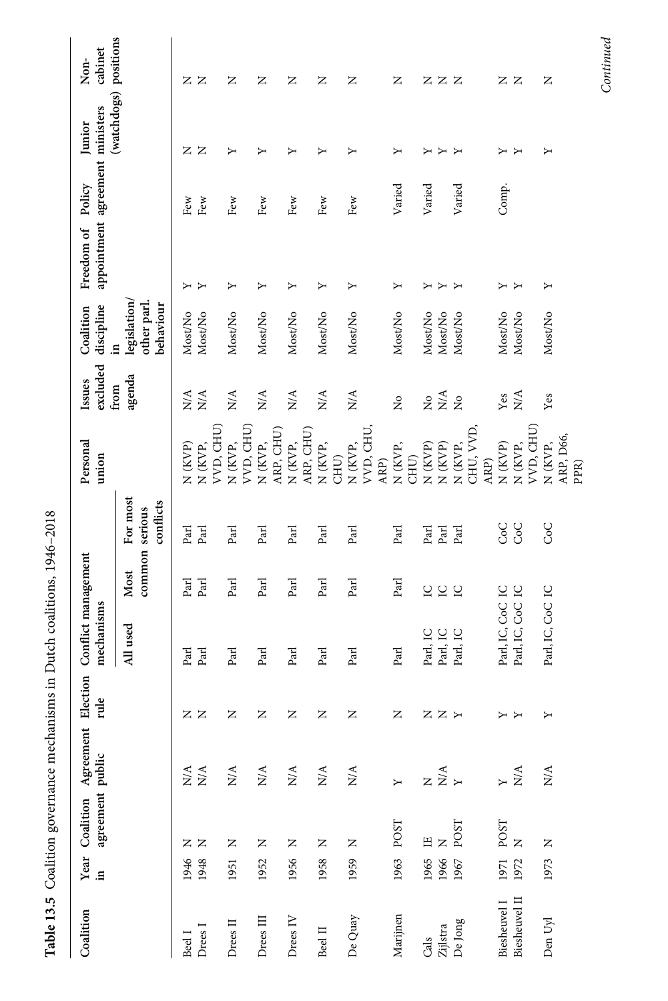| Coalition                     |              | agreement public       | Year Coalition Agreement<br>in agreement public | rule  | Election Conflict management<br>mechanisms |                          |                       | Personal<br>union                       | excluded<br>Issues           | discipline<br>Coalition                       | appointment agreement ministers<br>Freedom of Policy |              | Junior                | cabinet<br>Non- |
|-------------------------------|--------------|------------------------|-------------------------------------------------|-------|--------------------------------------------|--------------------------|-----------------------|-----------------------------------------|------------------------------|-----------------------------------------------|------------------------------------------------------|--------------|-----------------------|-----------------|
|                               |              |                        |                                                 |       | All used                                   | common serious<br>Most   | For most<br>conflicts |                                         | agenda<br>from               | legislation/<br>other parl<br>behaviour<br>Ξ. |                                                      |              | (watchdogs) positions |                 |
| Drees I<br>Beel I             | 1948<br>1946 | Z<br>z                 | N/A<br>$\mathbf{N} \mathbf{A}$                  | zz    | Parl<br>$_{\rm {Pa}$                       | Parl<br>Parl             | Parl<br>Parl          | N (KVP)<br>N (KVP,                      | N/A<br>N/A                   | Most/No<br>Most/No                            | Υ<br>≻                                               | Few<br>Few   | z<br>$\mathsf{z}$     | ZZ              |
| Drees II                      | 1951         | z                      | N/A                                             | z     | Parl                                       | Parl                     | Parl                  | VVD, CHU)<br>N (KVP,                    | $N\mathcal{A}$               | Most/No                                       | ≻                                                    | $\mbox{Few}$ | Υ                     | z               |
| Drees III                     | 1952         | Z                      | N/A                                             | z     | Parl                                       | Parl                     | Parl                  | VVD, CHU)<br>N (KVP,                    | N/A                          | Most/No                                       | ≻                                                    | Few          | ≻                     | z               |
| Drees IV                      | 1956         | Z                      | $\rm N/A$                                       | z     | Parl                                       | Parl                     | Parl                  | ARP, CHU)<br>N (KVP,                    | $N\mathcal{A}$               | Most/No                                       | ≻                                                    | Few          | ≻                     | z               |
| Beel II                       | 1958         | $\simeq$               | N/A                                             | Z     | Parl                                       | Parl                     | Parl                  | ARP, CHU)<br>N (KVP,                    | $N\mathcal{A}$               | Most/No                                       | ≻                                                    | Few          | Σ                     | z               |
| De Quay                       | 1959         | $\square$              | N/A                                             | z     | Parl                                       | Parl                     | Parl                  | VVD, CHU,<br>N (KVP,<br>CHU)            | $\stackrel{\triangle}{\geq}$ | Most/No                                       | ≻                                                    | Few          | ≻                     | z               |
| Marijnen                      |              | 1963 POST              | $\mathbf{y}$                                    | z     | Parl                                       | Parl                     | Parl                  | N (KVP,<br>ARP)                         | $\frac{1}{2}$                | Most/No                                       | ≻                                                    | Varied       | ≻                     | z               |
| $Zijlstra$<br>Cals            | 1966<br>1965 | Щ<br>Z                 | z Š r                                           | Z Z H | Parl, IC<br>Parl, IC                       | $\overline{\mathcal{L}}$ | Parl<br>Parl          | N (KVP)<br>N (KVP)<br>CHU)              | $2\frac{8}{2}$               | Most/No<br>Most/No                            | ≻<br>↣                                               | Varied       | ≻<br>Σ                | zzz             |
| De Jong                       | 1967         | POST                   |                                                 |       | Parl, IC                                   | 5 G                      | Parl                  | CHU, VVD,<br>N (KVP,                    | $\frac{1}{2}$                | Most/No                                       | $\rightarrow$                                        | Varied       | Y                     |                 |
| Biesheuvel II<br>Biesheuvel I | 1971<br>1972 | POST<br>$\overline{z}$ | N/A<br>$\mathbf{Y}$                             | YY    | Parl, IC, CoC IC<br>Parl, IC, CoC          | $\overline{C}$           | CoC<br>Soc            | VVD, CHU)<br>N (KVP)<br>N (KVP,<br>ARP) | $N^{\mathcal{A}}$<br>Yes     | Most/No<br>Most/No                            | ≻                                                    | Comp.        | Σ<br>≻                | zz              |
| Den Uyl                       | 1973         | $\square$              | $_{\rm N/A}$                                    | Υ     | Parl, IC, CoC IC                           |                          | CoC                   | ARP, D66,<br>N (KVP,<br>PPR)            | Yes                          | Most/No                                       | ≻                                                    |              | ≻                     | z               |

Table 13.5 Coalition governance mechanisms in Dutch coalitions, 1946-2018 Table 13.5 Coalition governance mechanisms in Dutch coalitions, 1946–2018

 $Continued$ Continued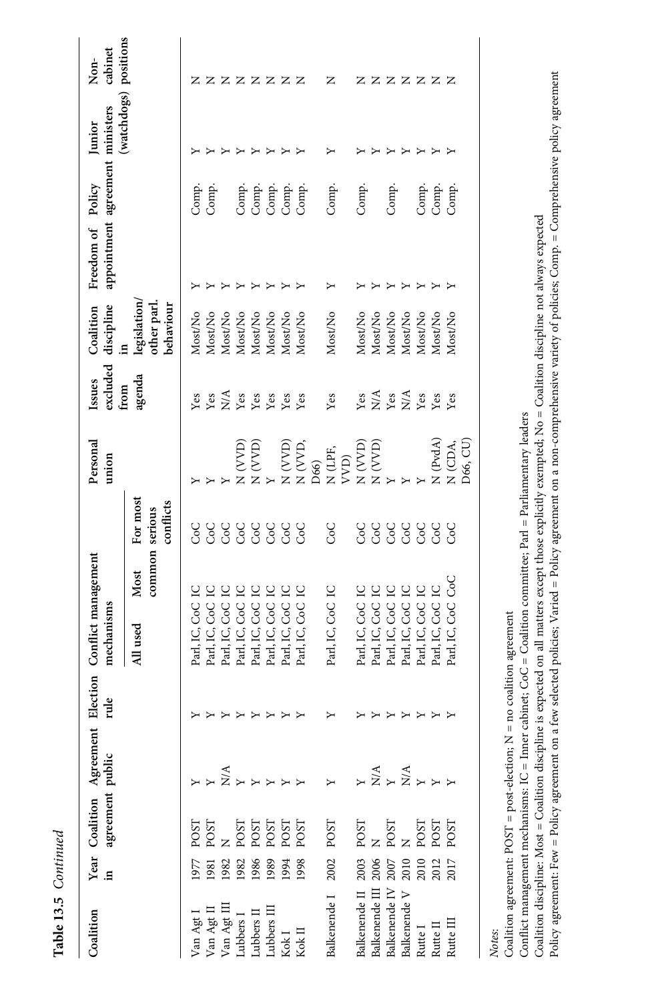| L |
|---|
| ۴ |
|   |
| í |
|   |
| é |
|   |

| Coalition                              |      | agreement public     | Year Coalition Agreement Election<br>in agreement public rule |   | Conflict management<br>mechanisms        |                                         | Personal<br>union                                                                                                                          | excluded<br>Issues<br>from                                        | discipline<br>Coalition                       | appointment agreement ministers<br>Freedom of Policy |                                  | Junior                            | cabinet<br>Non- |
|----------------------------------------|------|----------------------|---------------------------------------------------------------|---|------------------------------------------|-----------------------------------------|--------------------------------------------------------------------------------------------------------------------------------------------|-------------------------------------------------------------------|-----------------------------------------------|------------------------------------------------------|----------------------------------|-----------------------------------|-----------------|
|                                        |      |                      |                                                               |   | Most<br>All used                         | For most<br>conflicts<br>common serious |                                                                                                                                            | agenda                                                            | legislation,<br>other parl<br>behaviour<br>9. |                                                      |                                  | (watchdogs) positions             |                 |
| Van Agt I                              | 1977 | POST                 |                                                               |   | Parl, IC, CoC                            | င်<br>၁                                 |                                                                                                                                            | Yes                                                               | Most/No                                       |                                                      | Comp.                            |                                   |                 |
|                                        | 1981 | POST                 |                                                               |   | $\overline{C}$<br>Parl, IC, CoC          |                                         |                                                                                                                                            | Yes                                                               | Most/No                                       |                                                      | Comp.                            |                                   | z               |
| Van Agt II<br>Van Agt III<br>Lubbers I | 1982 |                      |                                                               |   | $\overline{C}$<br>Parl, IC, CoC          | 9<br>So                                 |                                                                                                                                            |                                                                   | Most/No                                       |                                                      |                                  |                                   |                 |
|                                        | 1982 |                      |                                                               |   | 2<br>Parl, IC, CoC                       | CoC                                     |                                                                                                                                            |                                                                   | Most/No                                       |                                                      |                                  |                                   |                 |
| Lubbers II                             | 1986 | POST<br>POST<br>POST | $\sum_{i=1}^{n}$                                              |   | $\overline{C}$<br>Parl, IC, CoC          | S                                       | $\begin{array}{l} \mathbf{X}(\mathbf{X},\mathbf{X}) \\ \mathbf{X}(\mathbf{X},\mathbf{X}) \\ \mathbf{X}(\mathbf{X},\mathbf{X}) \end{array}$ | $\sum_{Y}$ $\sum_{Y}$ $\sum_{Y}$                                  | Most/No                                       | ≻                                                    | Comp.<br>Comp.<br>Comp.<br>Comp. | Σ                                 | <b>ZZZZZZ</b>   |
| Lubbers III                            | 1989 |                      |                                                               |   | 2<br>Parl, IC, CoC                       | CoC                                     | ≻                                                                                                                                          | Yes                                                               | Most/No                                       |                                                      |                                  | ↣                                 |                 |
|                                        | 1994 | POST                 |                                                               |   | $\overline{C}$<br>Parl, IC, CoC          | CoC                                     | $N\left( \text{VVD}\right)$                                                                                                                |                                                                   | Most/No                                       |                                                      |                                  | $\rightarrow$                     |                 |
| Kok I<br>Kok II                        | 1998 | POST                 |                                                               | Υ | $\overline{C}$<br>Parl, IC, CoC          | CoC                                     | N (VVD                                                                                                                                     | Yes<br>Yes                                                        | Most/No                                       |                                                      |                                  | Y                                 |                 |
|                                        |      |                      |                                                               |   |                                          |                                         | D66)                                                                                                                                       |                                                                   |                                               |                                                      |                                  |                                   |                 |
| Balkenende I                           | 2002 | POST                 |                                                               | Σ | Parl, IC, CoC IC                         | CoC                                     | $N$ (LPF,                                                                                                                                  | Yes                                                               | Most/No                                       |                                                      | Comp.                            | ≻                                 | z               |
|                                        |      |                      |                                                               |   |                                          |                                         | VVD)                                                                                                                                       |                                                                   |                                               |                                                      |                                  |                                   |                 |
| Balkenende II                          | 2003 | POST                 |                                                               |   | Parl, IC, CoC IC                         | <b>CoC</b>                              |                                                                                                                                            | Yes                                                               | Most/No                                       |                                                      | Comp.                            |                                   | z               |
| Balkenende III 2006                    |      |                      |                                                               |   | $\overline{C}$<br>Parl, IC, CoC          | CoC                                     | N (VVD)<br>N (VVD)                                                                                                                         |                                                                   | Most/No                                       |                                                      |                                  |                                   |                 |
| Balkenende IV 2007                     |      | N<br>POST            |                                                               |   | $\overline{C}$<br>Parl, IC, CoC          | coc<br>Coc                              |                                                                                                                                            |                                                                   | Most/No                                       |                                                      | Comp.                            | $\blacktriangleright$             |                 |
| Balkenende V                           | 2010 |                      |                                                               |   | $\overline{C}$<br>Parl, IC, CoC          |                                         |                                                                                                                                            | $\sum_{Y}$ $\sum_{X}$ $\sum_{Y}$ $\sum_{Y}$ $\sum_{Y}$ $\sum_{Y}$ | Most/No                                       |                                                      |                                  | Y                                 |                 |
| Rutte I                                | 2010 |                      |                                                               |   | $\overline{\mathsf{C}}$<br>Parl, IC, CoC | <b>CoC</b>                              |                                                                                                                                            |                                                                   | Most/No                                       |                                                      | Comp.                            | Σ                                 |                 |
| Rutte II                               | 2012 | POST<br>POST<br>POST | $X + X$<br>$X + Y$                                            |   | $\overline{C}$<br>Parl, IC, CoC          | CoC                                     | N (PvdA)                                                                                                                                   | $\mathbf{Yes}$                                                    | Most/No                                       | $\mathbf{r}$                                         | Comp.                            | $\triangleright$ $\triangleright$ | <b>ZZZZZZ</b>   |
| Rutte III                              | 2017 |                      |                                                               |   | S<br>Parl, IC, CoC                       | <b>CoC</b>                              | N (CDA,                                                                                                                                    | Yes                                                               | Most/No                                       |                                                      | Comp.                            |                                   |                 |
|                                        |      |                      |                                                               |   |                                          |                                         | D66, CU                                                                                                                                    |                                                                   |                                               |                                                      |                                  |                                   |                 |
|                                        |      |                      |                                                               |   |                                          |                                         |                                                                                                                                            |                                                                   |                                               |                                                      |                                  |                                   |                 |

Notes:

Coalition agreement: POST = post-election; N = no coalition agreement Coalition agreement: POST = post-election; N = no coalition agreement

Conflict management mechanisms:  $IC =$  Inner cabinet;  $CoC =$  Coalition committee; Parl = Parliamentary leaders Conflict management mechanisms: IC = Inner cabinet; CoC = Coalition committee; Parl = Parliamentary leaders

Policy agreement: Few = Policy agreement on a few selected policies; Varied = Policy agreement on a non-comprehensive variety of policies; Comp. = Comprehensive policy agreement Policy agreement: Few = Policy agreement on a few selected policies; Varied = Policy agreement on a non-comprehensive variety of policies; Comp. = Comprehensive policy agreementCoalition discipline: Most = Coalition discipline is expected on all matters except those explicitly exempted; No = Coalition discipline not always expected Coalition discipline: Most = Coalition discipline is expected on all matters except those explicitly exempted; No = Coalition discipline not always expected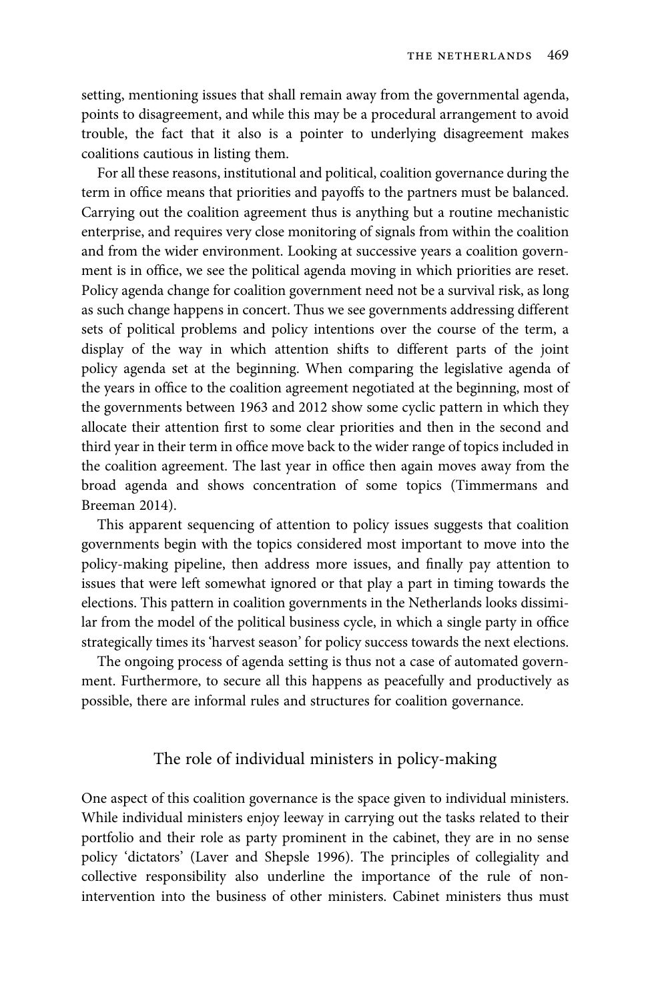setting, mentioning issues that shall remain away from the governmental agenda, points to disagreement, and while this may be a procedural arrangement to avoid trouble, the fact that it also is a pointer to underlying disagreement makes coalitions cautious in listing them.

For all these reasons, institutional and political, coalition governance during the term in office means that priorities and payoffs to the partners must be balanced. Carrying out the coalition agreement thus is anything but a routine mechanistic enterprise, and requires very close monitoring of signals from within the coalition and from the wider environment. Looking at successive years a coalition government is in office, we see the political agenda moving in which priorities are reset. Policy agenda change for coalition government need not be a survival risk, as long as such change happens in concert. Thus we see governments addressing different sets of political problems and policy intentions over the course of the term, a display of the way in which attention shifts to different parts of the joint policy agenda set at the beginning. When comparing the legislative agenda of the years in office to the coalition agreement negotiated at the beginning, most of the governments between 1963 and 2012 show some cyclic pattern in which they allocate their attention first to some clear priorities and then in the second and third year in their term in office move back to the wider range of topics included in the coalition agreement. The last year in office then again moves away from the broad agenda and shows concentration of some topics (Timmermans and Breeman 2014).

This apparent sequencing of attention to policy issues suggests that coalition governments begin with the topics considered most important to move into the policy-making pipeline, then address more issues, and finally pay attention to issues that were left somewhat ignored or that play a part in timing towards the elections. This pattern in coalition governments in the Netherlands looks dissimilar from the model of the political business cycle, in which a single party in office strategically times its 'harvest season' for policy success towards the next elections.

The ongoing process of agenda setting is thus not a case of automated government. Furthermore, to secure all this happens as peacefully and productively as possible, there are informal rules and structures for coalition governance.

# The role of individual ministers in policy-making

One aspect of this coalition governance is the space given to individual ministers. While individual ministers enjoy leeway in carrying out the tasks related to their portfolio and their role as party prominent in the cabinet, they are in no sense policy 'dictators' (Laver and Shepsle 1996). The principles of collegiality and collective responsibility also underline the importance of the rule of nonintervention into the business of other ministers. Cabinet ministers thus must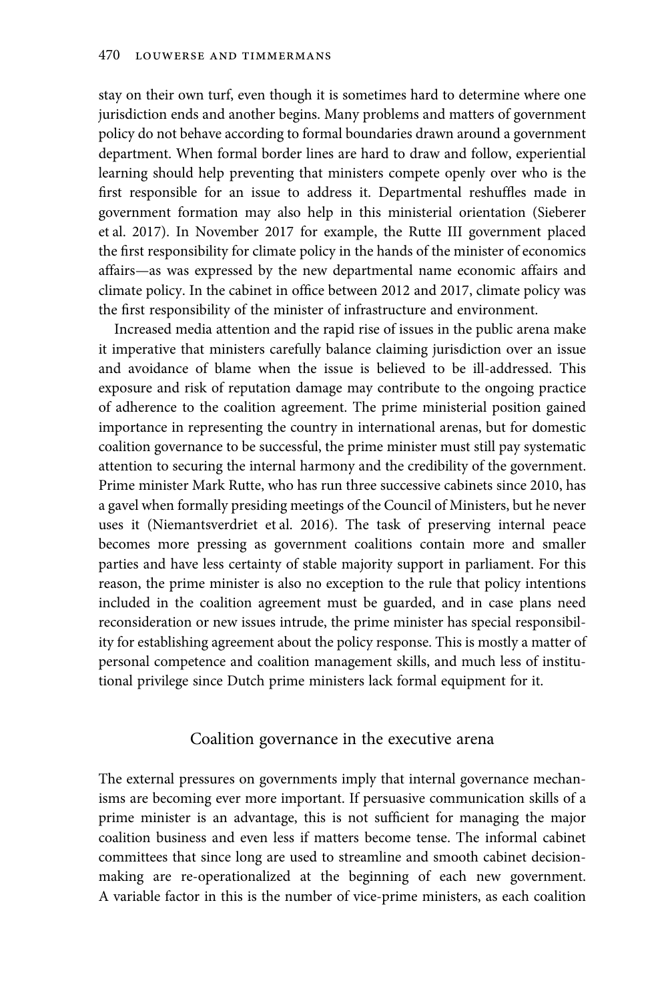stay on their own turf, even though it is sometimes hard to determine where one jurisdiction ends and another begins. Many problems and matters of government policy do not behave according to formal boundaries drawn around a government department. When formal border lines are hard to draw and follow, experiential learning should help preventing that ministers compete openly over who is the first responsible for an issue to address it. Departmental reshuffles made in government formation may also help in this ministerial orientation (Sieberer et al. 2017). In November 2017 for example, the Rutte III government placed the first responsibility for climate policy in the hands of the minister of economics affairs—as was expressed by the new departmental name economic affairs and climate policy. In the cabinet in office between 2012 and 2017, climate policy was the first responsibility of the minister of infrastructure and environment.

Increased media attention and the rapid rise of issues in the public arena make it imperative that ministers carefully balance claiming jurisdiction over an issue and avoidance of blame when the issue is believed to be ill-addressed. This exposure and risk of reputation damage may contribute to the ongoing practice of adherence to the coalition agreement. The prime ministerial position gained importance in representing the country in international arenas, but for domestic coalition governance to be successful, the prime minister must still pay systematic attention to securing the internal harmony and the credibility of the government. Prime minister Mark Rutte, who has run three successive cabinets since 2010, has a gavel when formally presiding meetings of the Council of Ministers, but he never uses it (Niemantsverdriet et al. 2016). The task of preserving internal peace becomes more pressing as government coalitions contain more and smaller parties and have less certainty of stable majority support in parliament. For this reason, the prime minister is also no exception to the rule that policy intentions included in the coalition agreement must be guarded, and in case plans need reconsideration or new issues intrude, the prime minister has special responsibility for establishing agreement about the policy response. This is mostly a matter of personal competence and coalition management skills, and much less of institutional privilege since Dutch prime ministers lack formal equipment for it.

# Coalition governance in the executive arena

The external pressures on governments imply that internal governance mechanisms are becoming ever more important. If persuasive communication skills of a prime minister is an advantage, this is not sufficient for managing the major coalition business and even less if matters become tense. The informal cabinet committees that since long are used to streamline and smooth cabinet decisionmaking are re-operationalized at the beginning of each new government. A variable factor in this is the number of vice-prime ministers, as each coalition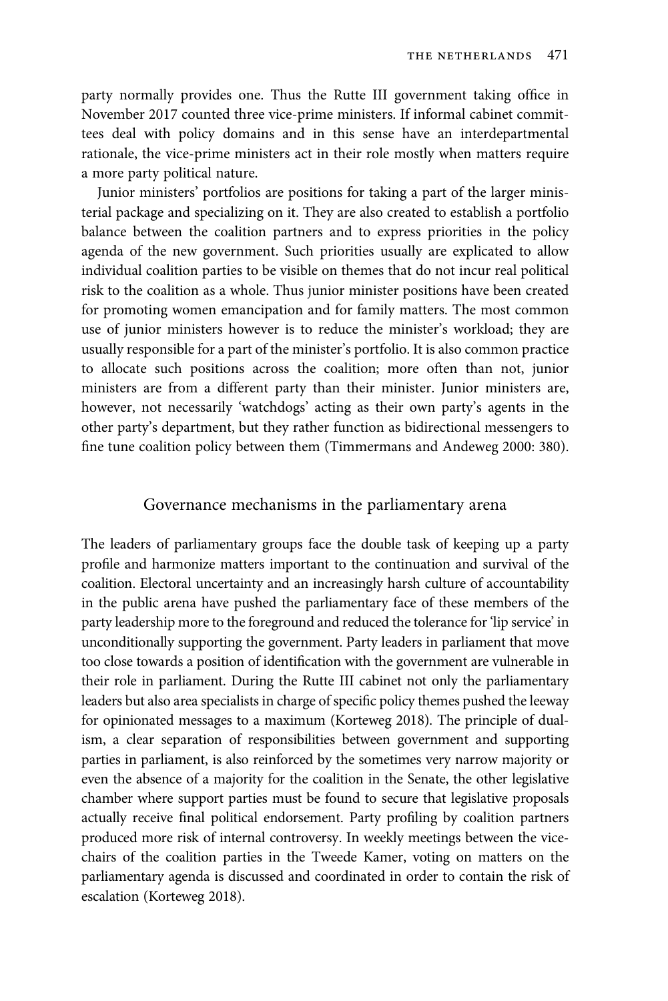party normally provides one. Thus the Rutte III government taking office in November 2017 counted three vice-prime ministers. If informal cabinet committees deal with policy domains and in this sense have an interdepartmental rationale, the vice-prime ministers act in their role mostly when matters require a more party political nature.

Junior ministers' portfolios are positions for taking a part of the larger ministerial package and specializing on it. They are also created to establish a portfolio balance between the coalition partners and to express priorities in the policy agenda of the new government. Such priorities usually are explicated to allow individual coalition parties to be visible on themes that do not incur real political risk to the coalition as a whole. Thus junior minister positions have been created for promoting women emancipation and for family matters. The most common use of junior ministers however is to reduce the minister's workload; they are usually responsible for a part of the minister's portfolio. It is also common practice to allocate such positions across the coalition; more often than not, junior ministers are from a different party than their minister. Junior ministers are, however, not necessarily 'watchdogs' acting as their own party's agents in the other party's department, but they rather function as bidirectional messengers to fine tune coalition policy between them (Timmermans and Andeweg 2000: 380).

#### Governance mechanisms in the parliamentary arena

The leaders of parliamentary groups face the double task of keeping up a party profile and harmonize matters important to the continuation and survival of the coalition. Electoral uncertainty and an increasingly harsh culture of accountability in the public arena have pushed the parliamentary face of these members of the party leadership more to the foreground and reduced the tolerance for 'lip service' in unconditionally supporting the government. Party leaders in parliament that move too close towards a position of identification with the government are vulnerable in their role in parliament. During the Rutte III cabinet not only the parliamentary leaders but also area specialists in charge of specific policy themes pushed the leeway for opinionated messages to a maximum (Korteweg 2018). The principle of dualism, a clear separation of responsibilities between government and supporting parties in parliament, is also reinforced by the sometimes very narrow majority or even the absence of a majority for the coalition in the Senate, the other legislative chamber where support parties must be found to secure that legislative proposals actually receive final political endorsement. Party profiling by coalition partners produced more risk of internal controversy. In weekly meetings between the vicechairs of the coalition parties in the Tweede Kamer, voting on matters on the parliamentary agenda is discussed and coordinated in order to contain the risk of escalation (Korteweg 2018).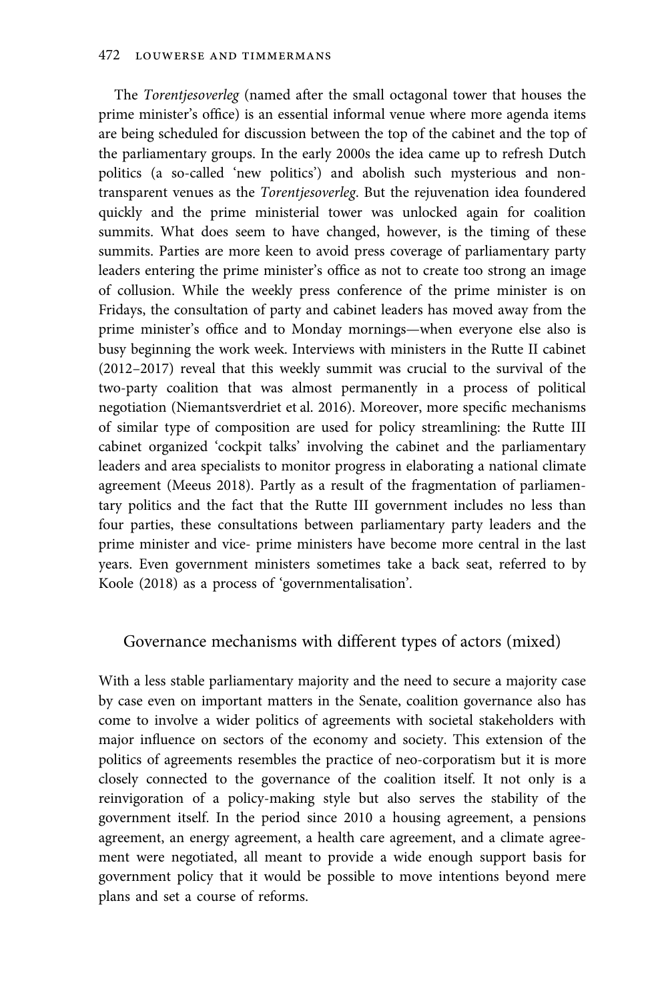The Torentjesoverleg (named after the small octagonal tower that houses the prime minister's office) is an essential informal venue where more agenda items are being scheduled for discussion between the top of the cabinet and the top of the parliamentary groups. In the early 2000s the idea came up to refresh Dutch politics (a so-called 'new politics') and abolish such mysterious and nontransparent venues as the Torentjesoverleg. But the rejuvenation idea foundered quickly and the prime ministerial tower was unlocked again for coalition summits. What does seem to have changed, however, is the timing of these summits. Parties are more keen to avoid press coverage of parliamentary party leaders entering the prime minister's office as not to create too strong an image of collusion. While the weekly press conference of the prime minister is on Fridays, the consultation of party and cabinet leaders has moved away from the prime minister's office and to Monday mornings—when everyone else also is busy beginning the work week. Interviews with ministers in the Rutte II cabinet (2012–2017) reveal that this weekly summit was crucial to the survival of the two-party coalition that was almost permanently in a process of political negotiation (Niemantsverdriet et al. 2016). Moreover, more specific mechanisms of similar type of composition are used for policy streamlining: the Rutte III cabinet organized 'cockpit talks' involving the cabinet and the parliamentary leaders and area specialists to monitor progress in elaborating a national climate agreement (Meeus 2018). Partly as a result of the fragmentation of parliamentary politics and the fact that the Rutte III government includes no less than four parties, these consultations between parliamentary party leaders and the prime minister and vice- prime ministers have become more central in the last years. Even government ministers sometimes take a back seat, referred to by Koole (2018) as a process of 'governmentalisation'.

# Governance mechanisms with different types of actors (mixed)

With a less stable parliamentary majority and the need to secure a majority case by case even on important matters in the Senate, coalition governance also has come to involve a wider politics of agreements with societal stakeholders with major influence on sectors of the economy and society. This extension of the politics of agreements resembles the practice of neo-corporatism but it is more closely connected to the governance of the coalition itself. It not only is a reinvigoration of a policy-making style but also serves the stability of the government itself. In the period since 2010 a housing agreement, a pensions agreement, an energy agreement, a health care agreement, and a climate agreement were negotiated, all meant to provide a wide enough support basis for government policy that it would be possible to move intentions beyond mere plans and set a course of reforms.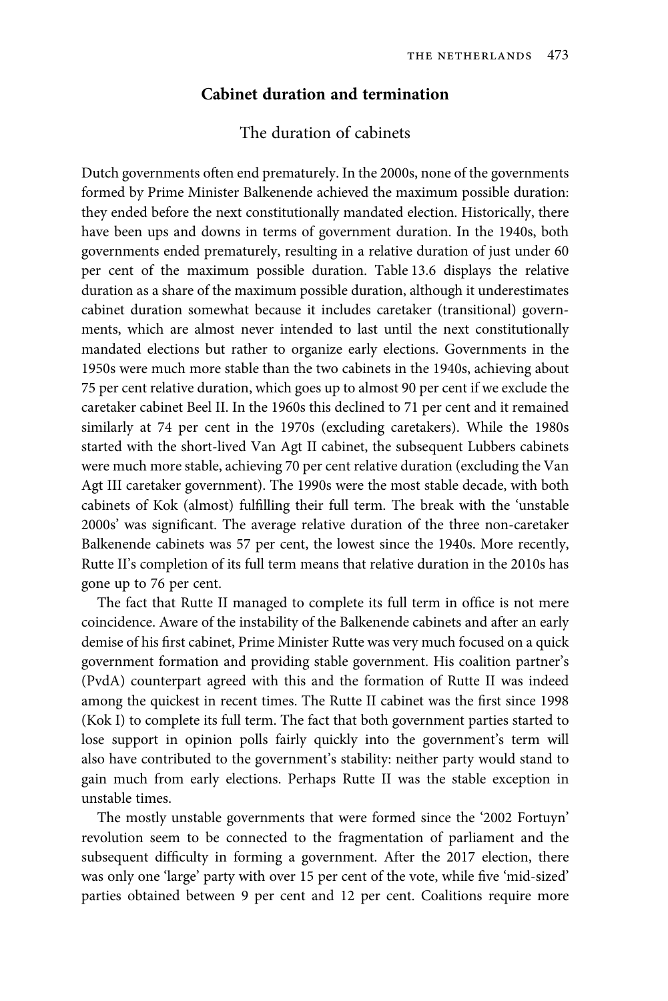### Cabinet duration and termination

# The duration of cabinets

Dutch governments often end prematurely. In the 2000s, none of the governments formed by Prime Minister Balkenende achieved the maximum possible duration: they ended before the next constitutionally mandated election. Historically, there have been ups and downs in terms of government duration. In the 1940s, both governments ended prematurely, resulting in a relative duration of just under 60 per cent of the maximum possible duration. Table 13.6 displays the relative duration as a share of the maximum possible duration, although it underestimates cabinet duration somewhat because it includes caretaker (transitional) governments, which are almost never intended to last until the next constitutionally mandated elections but rather to organize early elections. Governments in the 1950s were much more stable than the two cabinets in the 1940s, achieving about 75 per cent relative duration, which goes up to almost 90 per cent if we exclude the caretaker cabinet Beel II. In the 1960s this declined to 71 per cent and it remained similarly at 74 per cent in the 1970s (excluding caretakers). While the 1980s started with the short-lived Van Agt II cabinet, the subsequent Lubbers cabinets were much more stable, achieving 70 per cent relative duration (excluding the Van Agt III caretaker government). The 1990s were the most stable decade, with both cabinets of Kok (almost) fulfilling their full term. The break with the 'unstable 2000s' was significant. The average relative duration of the three non-caretaker Balkenende cabinets was 57 per cent, the lowest since the 1940s. More recently, Rutte II's completion of its full term means that relative duration in the 2010s has gone up to 76 per cent.

The fact that Rutte II managed to complete its full term in office is not mere coincidence. Aware of the instability of the Balkenende cabinets and after an early demise of his first cabinet, Prime Minister Rutte was very much focused on a quick government formation and providing stable government. His coalition partner's (PvdA) counterpart agreed with this and the formation of Rutte II was indeed among the quickest in recent times. The Rutte II cabinet was the first since 1998 (Kok I) to complete its full term. The fact that both government parties started to lose support in opinion polls fairly quickly into the government's term will also have contributed to the government's stability: neither party would stand to gain much from early elections. Perhaps Rutte II was the stable exception in unstable times.

The mostly unstable governments that were formed since the '2002 Fortuyn' revolution seem to be connected to the fragmentation of parliament and the subsequent difficulty in forming a government. After the 2017 election, there was only one 'large' party with over 15 per cent of the vote, while five 'mid-sized' parties obtained between 9 per cent and 12 per cent. Coalitions require more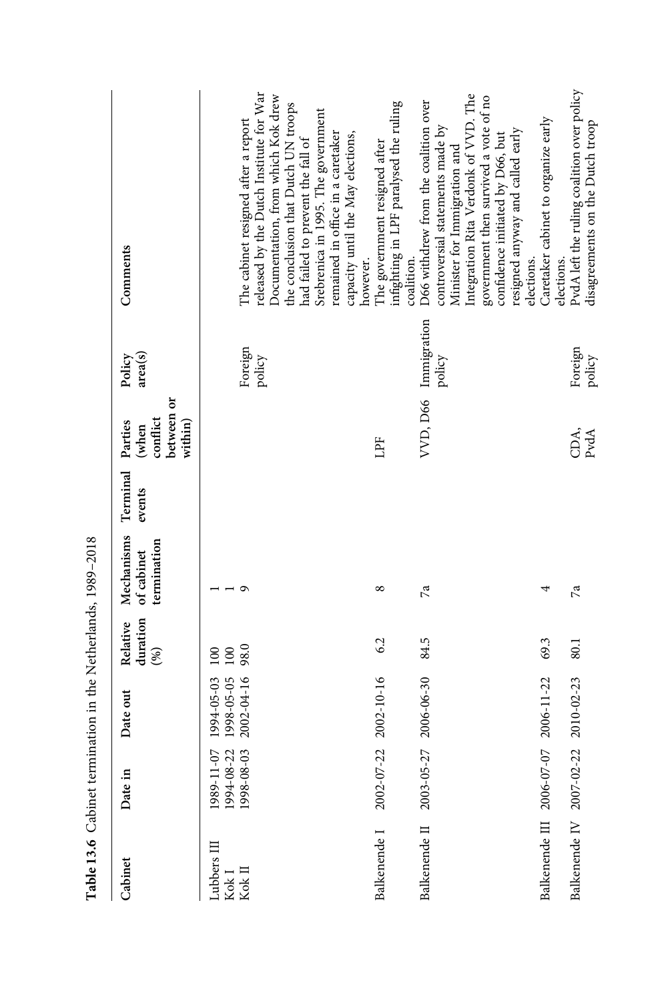| Cabinet                                 | Date in                               | Date out                               | duration<br>Relative<br>(%) | Mechanisms<br>termination<br>of cabinet | Terminal<br>events | between or<br>conflict<br>within)<br>Parties<br>(when | area(s)<br>Policy              | Comments                                                                                                                                                                                                                                                                                                         |
|-----------------------------------------|---------------------------------------|----------------------------------------|-----------------------------|-----------------------------------------|--------------------|-------------------------------------------------------|--------------------------------|------------------------------------------------------------------------------------------------------------------------------------------------------------------------------------------------------------------------------------------------------------------------------------------------------------------|
| Lubbers III<br>$\rm Kok$ I $\rm Kok$ II | 1989-11-07<br>1994-08-22<br>998-08-03 | 1998-05-05<br>2002-04-16<br>1994-05-03 | 98.0<br>100<br>$\approx$    | o                                       |                    |                                                       | Foreign<br>policy              | released by the Dutch Institute for War<br>Documentation, from which Kok drew<br>the conclusion that Dutch UN troops<br>Srebrenica in 1995. The government<br>The cabinet resigned after a report<br>remained in office in a caretaker<br>capacity until the May elections,<br>had failed to prevent the fall of |
| Balkenende I                            | 2002-07-22                            | 2002-10-16                             | 6.2                         | ∞                                       |                    | ЦPF                                                   |                                | infighting in LPF paralysed the ruling<br>The government resigned after<br>however.                                                                                                                                                                                                                              |
| Balkenende II                           |                                       | 2003-05-27 2006-06-30                  | 84.5                        | 7a                                      |                    |                                                       | VVD, D66 Immigration<br>policy | Integration Rita Verdonk of VVD. The<br>government then survived a vote of no<br>D66 withdrew from the coalition over<br>controversial statements made by<br>resigned anyway and called early<br>confidence initiated by D66, but<br>Minister for Immigration and<br>coalition.                                  |
| Balkenende III 2006-07-07               |                                       | 2006-11-22                             | 69.3                        |                                         |                    |                                                       |                                | Caretaker cabinet to organize early<br>elections.                                                                                                                                                                                                                                                                |
| Balkenende IV 2007-02-22                |                                       | 2010-02-23                             | 80.1                        | $\mathbb{Z}$                            |                    | CDA,<br>PvdA                                          | Foreign<br>policy              | PvdA left the ruling coalition over policy<br>disagreements on the Dutch troop<br>elections.                                                                                                                                                                                                                     |

Table 13.6 Cabinet termination in the Netherlands, 1989-2018 Table 13.6 Cabinet termination in the Netherlands, 1989–2018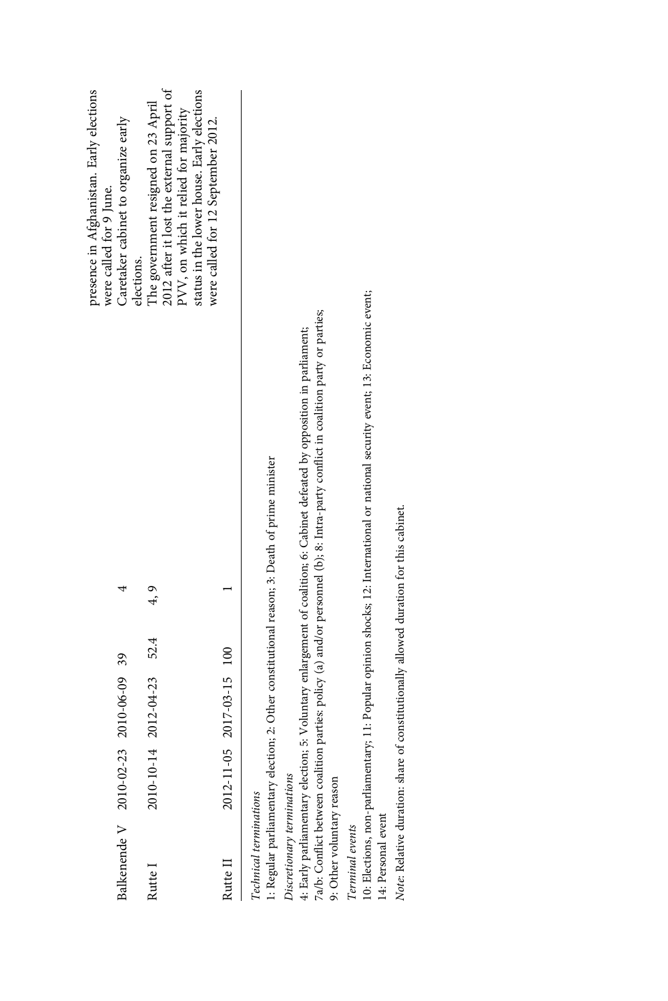|                                       |                                        |                                                                                               | presence in Afghanistan. Early elections<br>were called for 9 June. |
|---------------------------------------|----------------------------------------|-----------------------------------------------------------------------------------------------|---------------------------------------------------------------------|
| Balkenende V 2010-02-23 2010-06-09 39 |                                        |                                                                                               | Caretaker cabinet to organize early                                 |
|                                       |                                        |                                                                                               | elections.                                                          |
| Rutte I                               | $2010 - 10 - 14$ $2012 - 04 - 23$ 52.4 | 4, 9                                                                                          | The government resigned on 23 April                                 |
|                                       |                                        |                                                                                               | 2012 after it lost the external support of                          |
|                                       |                                        |                                                                                               | PVV, on which it relied for majority                                |
|                                       |                                        |                                                                                               | status in the lower house. Early elections                          |
|                                       |                                        |                                                                                               | were called for 12 September 2012.                                  |
| Rutte II                              | 2012-11-05 2017-03-15 100              |                                                                                               |                                                                     |
| Technical terminations                |                                        |                                                                                               |                                                                     |
|                                       |                                        | 1: Regular parliamentary election; 2: Other constitutional reason; 3: Death of prime minister |                                                                     |

Discretionary terminations Discretionary terminations

7a/b: Conflict between coalition parties: policy (a) and/or personnel (b); 8: Intra-party conflict in coalition party or parties; 7a/b: Conflict between coalition parties: policy (a) and/or personnel (b); 8: Intra-party conflict in coalition party or parties; 4: Early parliamentary election; 5: Voluntary enlargement of coalition; 6: Cabinet defeated by opposition in parliament; 4: Early parliamentary election; 5: Voluntary enlargement of coalition; 6: Cabinet defeated by opposition in parliament;

9: Other voluntary reason 9: Other voluntary reason

Terminal events Terminal events

10: Elections, non-parliamentary; 11: Popular opinion shocks; 12: International or national security event; 13: Economic event; 10: Elections, non-parliamentary; 11: Popular opinion shocks; 12: International or national security event; 13: Economic event; 14: Personal event 14: Personal event

Note: Relative duration: share of constitutionally allowed duration for this cabinet. Note: Relative duration: share of constitutionally allowed duration for this cabinet.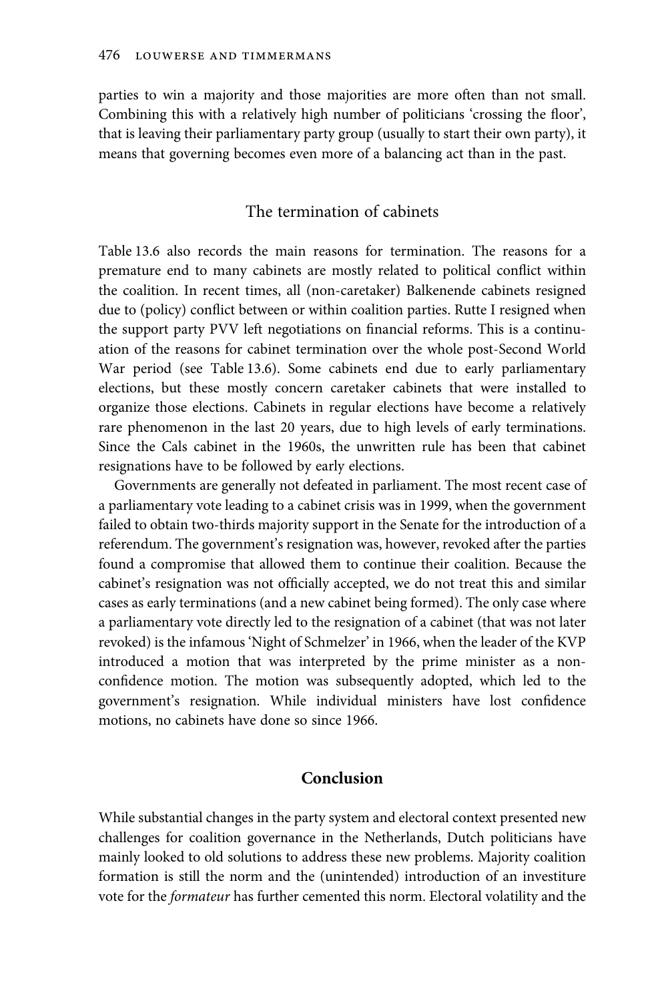parties to win a majority and those majorities are more often than not small. Combining this with a relatively high number of politicians 'crossing the floor', that is leaving their parliamentary party group (usually to start their own party), it means that governing becomes even more of a balancing act than in the past.

# The termination of cabinets

Table 13.6 also records the main reasons for termination. The reasons for a premature end to many cabinets are mostly related to political conflict within the coalition. In recent times, all (non-caretaker) Balkenende cabinets resigned due to (policy) conflict between or within coalition parties. Rutte I resigned when the support party PVV left negotiations on financial reforms. This is a continuation of the reasons for cabinet termination over the whole post-Second World War period (see Table 13.6). Some cabinets end due to early parliamentary elections, but these mostly concern caretaker cabinets that were installed to organize those elections. Cabinets in regular elections have become a relatively rare phenomenon in the last 20 years, due to high levels of early terminations. Since the Cals cabinet in the 1960s, the unwritten rule has been that cabinet resignations have to be followed by early elections.

Governments are generally not defeated in parliament. The most recent case of a parliamentary vote leading to a cabinet crisis was in 1999, when the government failed to obtain two-thirds majority support in the Senate for the introduction of a referendum. The government's resignation was, however, revoked after the parties found a compromise that allowed them to continue their coalition. Because the cabinet's resignation was not officially accepted, we do not treat this and similar cases as early terminations (and a new cabinet being formed). The only case where a parliamentary vote directly led to the resignation of a cabinet (that was not later revoked) is the infamous 'Night of Schmelzer' in 1966, when the leader of the KVP introduced a motion that was interpreted by the prime minister as a nonconfidence motion. The motion was subsequently adopted, which led to the government's resignation. While individual ministers have lost confidence motions, no cabinets have done so since 1966.

# Conclusion

While substantial changes in the party system and electoral context presented new challenges for coalition governance in the Netherlands, Dutch politicians have mainly looked to old solutions to address these new problems. Majority coalition formation is still the norm and the (unintended) introduction of an investiture vote for the formateur has further cemented this norm. Electoral volatility and the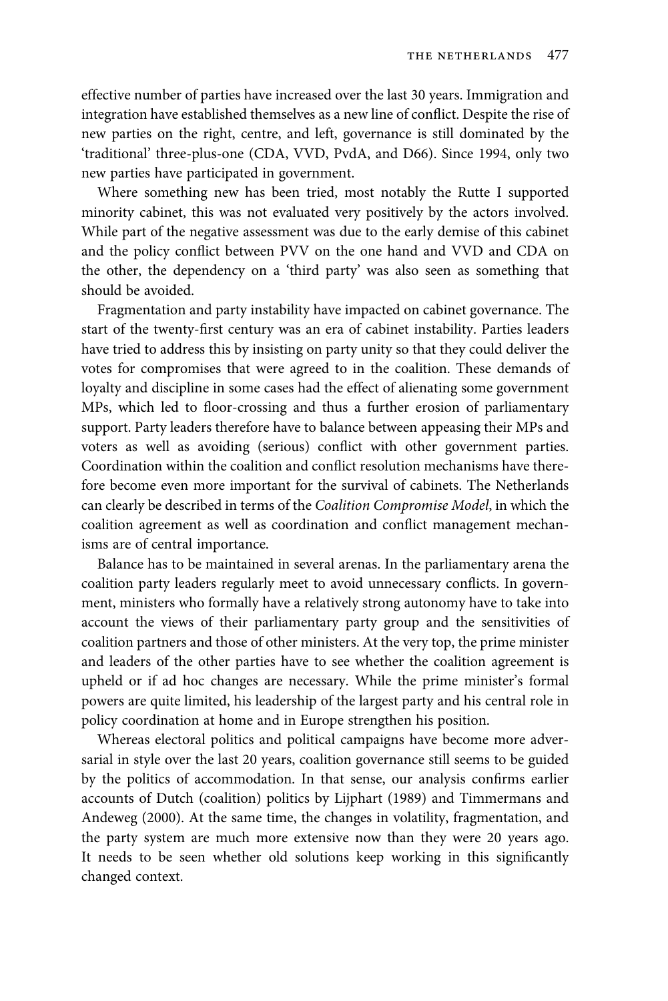effective number of parties have increased over the last 30 years. Immigration and integration have established themselves as a new line of conflict. Despite the rise of new parties on the right, centre, and left, governance is still dominated by the 'traditional' three-plus-one (CDA, VVD, PvdA, and D66). Since 1994, only two new parties have participated in government.

Where something new has been tried, most notably the Rutte I supported minority cabinet, this was not evaluated very positively by the actors involved. While part of the negative assessment was due to the early demise of this cabinet and the policy conflict between PVV on the one hand and VVD and CDA on the other, the dependency on a 'third party' was also seen as something that should be avoided.

Fragmentation and party instability have impacted on cabinet governance. The start of the twenty-first century was an era of cabinet instability. Parties leaders have tried to address this by insisting on party unity so that they could deliver the votes for compromises that were agreed to in the coalition. These demands of loyalty and discipline in some cases had the effect of alienating some government MPs, which led to floor-crossing and thus a further erosion of parliamentary support. Party leaders therefore have to balance between appeasing their MPs and voters as well as avoiding (serious) conflict with other government parties. Coordination within the coalition and conflict resolution mechanisms have therefore become even more important for the survival of cabinets. The Netherlands can clearly be described in terms of the Coalition Compromise Model, in which the coalition agreement as well as coordination and conflict management mechanisms are of central importance.

Balance has to be maintained in several arenas. In the parliamentary arena the coalition party leaders regularly meet to avoid unnecessary conflicts. In government, ministers who formally have a relatively strong autonomy have to take into account the views of their parliamentary party group and the sensitivities of coalition partners and those of other ministers. At the very top, the prime minister and leaders of the other parties have to see whether the coalition agreement is upheld or if ad hoc changes are necessary. While the prime minister's formal powers are quite limited, his leadership of the largest party and his central role in policy coordination at home and in Europe strengthen his position.

Whereas electoral politics and political campaigns have become more adversarial in style over the last 20 years, coalition governance still seems to be guided by the politics of accommodation. In that sense, our analysis confirms earlier accounts of Dutch (coalition) politics by Lijphart (1989) and Timmermans and Andeweg (2000). At the same time, the changes in volatility, fragmentation, and the party system are much more extensive now than they were 20 years ago. It needs to be seen whether old solutions keep working in this significantly changed context.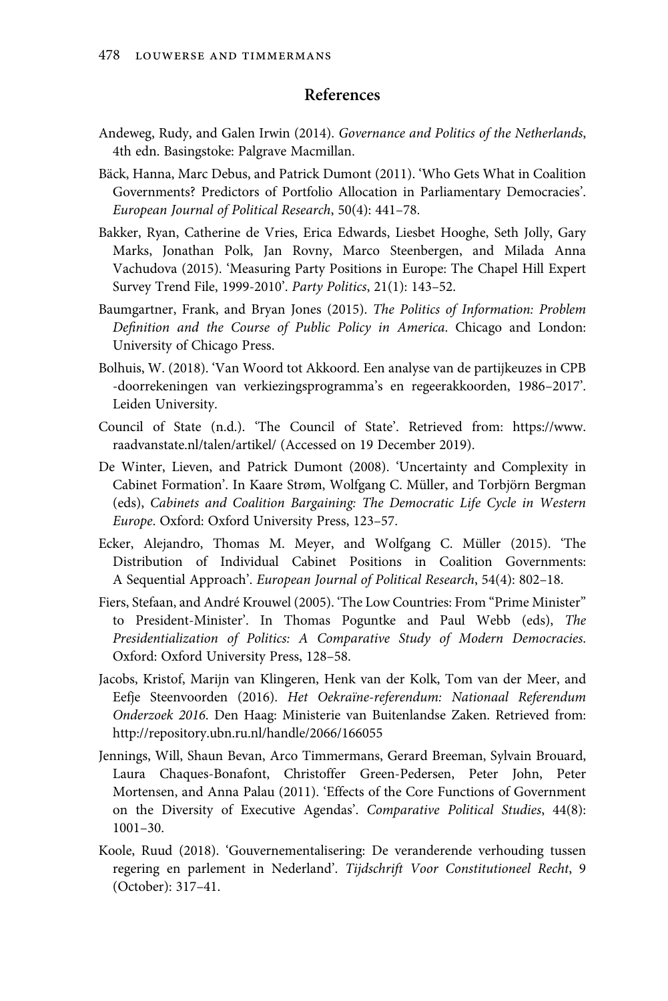## References

- Andeweg, Rudy, and Galen Irwin (2014). Governance and Politics of the Netherlands, 4th edn. Basingstoke: Palgrave Macmillan.
- Bäck, Hanna, Marc Debus, and Patrick Dumont (2011). 'Who Gets What in Coalition Governments? Predictors of Portfolio Allocation in Parliamentary Democracies'. European Journal of Political Research, 50(4): 441–78.
- Bakker, Ryan, Catherine de Vries, Erica Edwards, Liesbet Hooghe, Seth Jolly, Gary Marks, Jonathan Polk, Jan Rovny, Marco Steenbergen, and Milada Anna Vachudova (2015). 'Measuring Party Positions in Europe: The Chapel Hill Expert Survey Trend File, 1999-2010'. Party Politics, 21(1): 143–52.
- Baumgartner, Frank, and Bryan Jones (2015). The Politics of Information: Problem Definition and the Course of Public Policy in America. Chicago and London: University of Chicago Press.
- Bolhuis, W. (2018). 'Van Woord tot Akkoord. Een analyse van de partijkeuzes in CPB -doorrekeningen van verkiezingsprogramma's en regeerakkoorden, 1986–2017'. Leiden University.
- Council of State (n.d.). 'The Council of State'. Retrieved from: https://www. raadvanstate.nl/talen/artikel/ (Accessed on 19 December 2019).
- De Winter, Lieven, and Patrick Dumont (2008). 'Uncertainty and Complexity in Cabinet Formation'. In Kaare Strøm, Wolfgang C. Müller, and Torbjörn Bergman (eds), Cabinets and Coalition Bargaining: The Democratic Life Cycle in Western Europe. Oxford: Oxford University Press, 123–57.
- Ecker, Alejandro, Thomas M. Meyer, and Wolfgang C. Müller (2015). 'The Distribution of Individual Cabinet Positions in Coalition Governments: A Sequential Approach'. European Journal of Political Research, 54(4): 802–18.
- Fiers, Stefaan, and André Krouwel (2005). 'The Low Countries: From "Prime Minister" to President-Minister'. In Thomas Poguntke and Paul Webb (eds), The Presidentialization of Politics: A Comparative Study of Modern Democracies. Oxford: Oxford University Press, 128–58.
- Jacobs, Kristof, Marijn van Klingeren, Henk van der Kolk, Tom van der Meer, and Eefje Steenvoorden (2016). Het Oekraïne-referendum: Nationaal Referendum Onderzoek 2016. Den Haag: Ministerie van Buitenlandse Zaken. Retrieved from: http://repository.ubn.ru.nl/handle/2066/166055
- Jennings, Will, Shaun Bevan, Arco Timmermans, Gerard Breeman, Sylvain Brouard, Laura Chaques-Bonafont, Christoffer Green-Pedersen, Peter John, Peter Mortensen, and Anna Palau (2011). 'Effects of the Core Functions of Government on the Diversity of Executive Agendas'. Comparative Political Studies, 44(8): 1001–30.
- Koole, Ruud (2018). 'Gouvernementalisering: De veranderende verhouding tussen regering en parlement in Nederland'. Tijdschrift Voor Constitutioneel Recht, 9 (October): 317–41.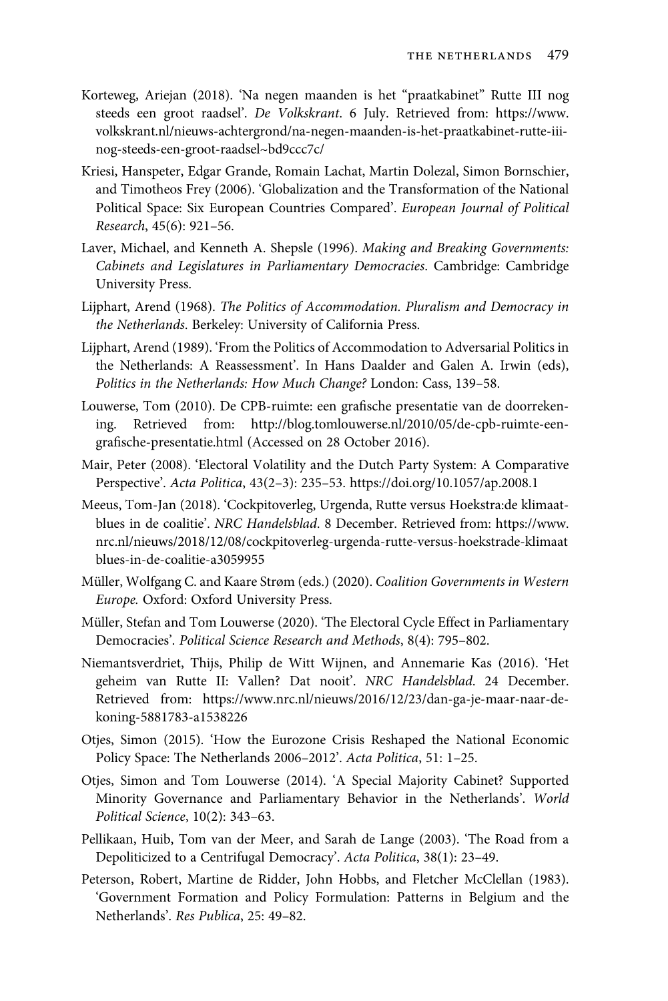- Korteweg, Ariejan (2018). 'Na negen maanden is het "praatkabinet" Rutte III nog steeds een groot raadsel'. De Volkskrant. 6 July. Retrieved from: https://www. volkskrant.nl/nieuws-achtergrond/na-negen-maanden-is-het-praatkabinet-rutte-iiinog-steeds-een-groot-raadsel~bd9ccc7c/
- Kriesi, Hanspeter, Edgar Grande, Romain Lachat, Martin Dolezal, Simon Bornschier, and Timotheos Frey (2006). 'Globalization and the Transformation of the National Political Space: Six European Countries Compared'. European Journal of Political Research, 45(6): 921–56.
- Laver, Michael, and Kenneth A. Shepsle (1996). Making and Breaking Governments: Cabinets and Legislatures in Parliamentary Democracies. Cambridge: Cambridge University Press.
- Lijphart, Arend (1968). The Politics of Accommodation. Pluralism and Democracy in the Netherlands. Berkeley: University of California Press.
- Lijphart, Arend (1989). 'From the Politics of Accommodation to Adversarial Politics in the Netherlands: A Reassessment'. In Hans Daalder and Galen A. Irwin (eds), Politics in the Netherlands: How Much Change? London: Cass, 139–58.
- Louwerse, Tom (2010). De CPB-ruimte: een grafische presentatie van de doorrekening. Retrieved from: http://blog.tomlouwerse.nl/2010/05/de-cpb-ruimte-eengrafische-presentatie.html (Accessed on 28 October 2016).
- Mair, Peter (2008). 'Electoral Volatility and the Dutch Party System: A Comparative Perspective'. Acta Politica, 43(2–3): 235–53. https://doi.org/10.1057/ap.2008.1
- Meeus, Tom-Jan (2018). 'Cockpitoverleg, Urgenda, Rutte versus Hoekstra:de klimaatblues in de coalitie'. NRC Handelsblad. 8 December. Retrieved from: https://www. nrc.nl/nieuws/2018/12/08/cockpitoverleg-urgenda-rutte-versus-hoekstrade-klimaat blues-in-de-coalitie-a3059955
- Müller, Wolfgang C. and Kaare Strøm (eds.) (2020). Coalition Governments in Western Europe. Oxford: Oxford University Press.
- Müller, Stefan and Tom Louwerse (2020). 'The Electoral Cycle Effect in Parliamentary Democracies'. Political Science Research and Methods, 8(4): 795–802.
- Niemantsverdriet, Thijs, Philip de Witt Wijnen, and Annemarie Kas (2016). 'Het geheim van Rutte II: Vallen? Dat nooit'. NRC Handelsblad. 24 December. Retrieved from: https://www.nrc.nl/nieuws/2016/12/23/dan-ga-je-maar-naar-dekoning-5881783-a1538226
- Otjes, Simon (2015). 'How the Eurozone Crisis Reshaped the National Economic Policy Space: The Netherlands 2006–2012'. Acta Politica, 51: 1–25.
- Otjes, Simon and Tom Louwerse (2014). 'A Special Majority Cabinet? Supported Minority Governance and Parliamentary Behavior in the Netherlands'. World Political Science, 10(2): 343–63.
- Pellikaan, Huib, Tom van der Meer, and Sarah de Lange (2003). 'The Road from a Depoliticized to a Centrifugal Democracy'. Acta Politica, 38(1): 23–49.
- Peterson, Robert, Martine de Ridder, John Hobbs, and Fletcher McClellan (1983). 'Government Formation and Policy Formulation: Patterns in Belgium and the Netherlands'. Res Publica, 25: 49–82.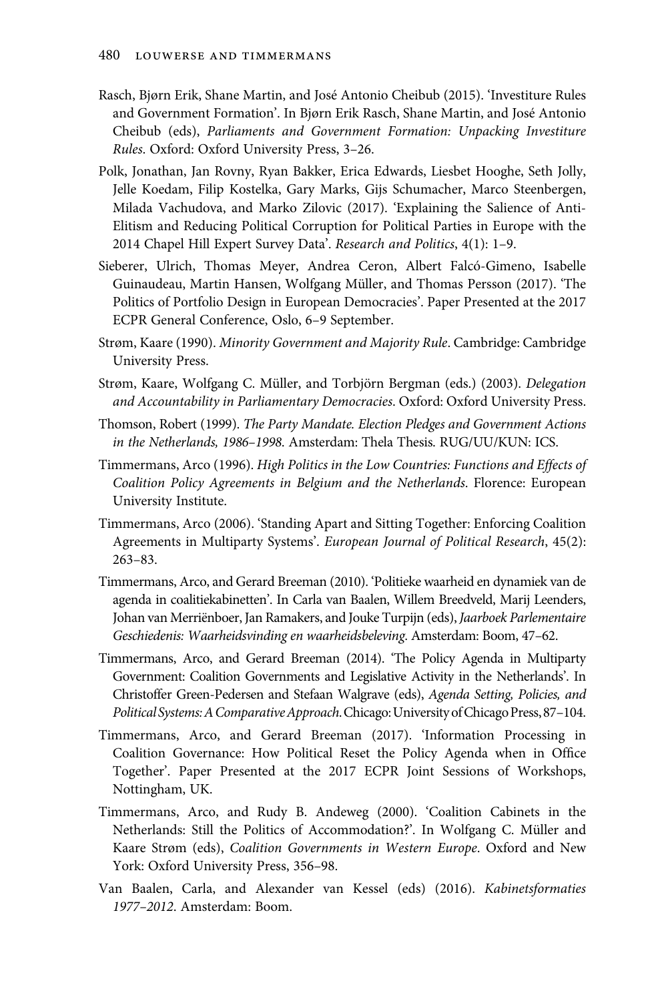- Rasch, Bjørn Erik, Shane Martin, and José Antonio Cheibub (2015). 'Investiture Rules and Government Formation'. In Bjørn Erik Rasch, Shane Martin, and José Antonio Cheibub (eds), Parliaments and Government Formation: Unpacking Investiture Rules. Oxford: Oxford University Press, 3–26.
- Polk, Jonathan, Jan Rovny, Ryan Bakker, Erica Edwards, Liesbet Hooghe, Seth Jolly, Jelle Koedam, Filip Kostelka, Gary Marks, Gijs Schumacher, Marco Steenbergen, Milada Vachudova, and Marko Zilovic (2017). 'Explaining the Salience of Anti-Elitism and Reducing Political Corruption for Political Parties in Europe with the 2014 Chapel Hill Expert Survey Data'. Research and Politics, 4(1): 1–9.
- Sieberer, Ulrich, Thomas Meyer, Andrea Ceron, Albert Falcó-Gimeno, Isabelle Guinaudeau, Martin Hansen, Wolfgang Müller, and Thomas Persson (2017). 'The Politics of Portfolio Design in European Democracies'. Paper Presented at the 2017 ECPR General Conference, Oslo, 6–9 September.
- Strøm, Kaare (1990). Minority Government and Majority Rule. Cambridge: Cambridge University Press.
- Strøm, Kaare, Wolfgang C. Müller, and Torbjörn Bergman (eds.) (2003). Delegation and Accountability in Parliamentary Democracies. Oxford: Oxford University Press.
- Thomson, Robert (1999). The Party Mandate. Election Pledges and Government Actions in the Netherlands, 1986–1998. Amsterdam: Thela Thesis. RUG/UU/KUN: ICS.
- Timmermans, Arco (1996). High Politics in the Low Countries: Functions and Effects of Coalition Policy Agreements in Belgium and the Netherlands. Florence: European University Institute.
- Timmermans, Arco (2006). 'Standing Apart and Sitting Together: Enforcing Coalition Agreements in Multiparty Systems'. European Journal of Political Research, 45(2): 263–83.
- Timmermans, Arco, and Gerard Breeman (2010). 'Politieke waarheid en dynamiek van de agenda in coalitiekabinetten'. In Carla van Baalen, Willem Breedveld, Marij Leenders, Johan van Merriënboer, Jan Ramakers, and Jouke Turpijn (eds), Jaarboek Parlementaire Geschiedenis: Waarheidsvinding en waarheidsbeleving. Amsterdam: Boom, 47–62.
- Timmermans, Arco, and Gerard Breeman (2014). 'The Policy Agenda in Multiparty Government: Coalition Governments and Legislative Activity in the Netherlands'. In Christoffer Green-Pedersen and Stefaan Walgrave (eds), Agenda Setting, Policies, and Political Systems: A Comparative Approach. Chicago: University of Chicago Press, 87-104.
- Timmermans, Arco, and Gerard Breeman (2017). 'Information Processing in Coalition Governance: How Political Reset the Policy Agenda when in Office Together'. Paper Presented at the 2017 ECPR Joint Sessions of Workshops, Nottingham, UK.
- Timmermans, Arco, and Rudy B. Andeweg (2000). 'Coalition Cabinets in the Netherlands: Still the Politics of Accommodation?'. In Wolfgang C. Müller and Kaare Strøm (eds), Coalition Governments in Western Europe. Oxford and New York: Oxford University Press, 356–98.
- Van Baalen, Carla, and Alexander van Kessel (eds) (2016). Kabinetsformaties 1977–2012. Amsterdam: Boom.